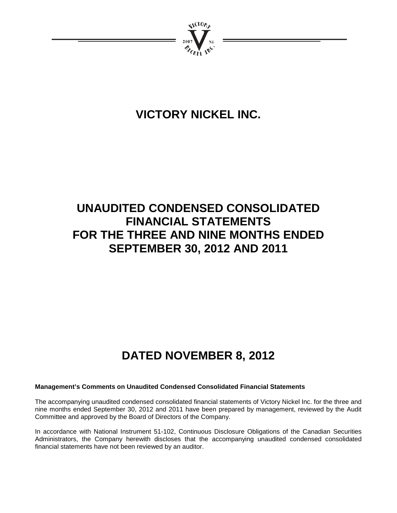

# **VICTORY NICKEL INC.**

# **UNAUDITED CONDENSED CONSOLIDATED FINANCIAL STATEMENTS FOR THE THREE AND NINE MONTHS ENDED SEPTEMBER 30, 2012 AND 2011**

# **DATED NOVEMBER 8, 2012**

# **Management's Comments on Unaudited Condensed Consolidated Financial Statements**

The accompanying unaudited condensed consolidated financial statements of Victory Nickel Inc. for the three and nine months ended September 30, 2012 and 2011 have been prepared by management, reviewed by the Audit Committee and approved by the Board of Directors of the Company.

In accordance with National Instrument 51-102, Continuous Disclosure Obligations of the Canadian Securities Administrators, the Company herewith discloses that the accompanying unaudited condensed consolidated financial statements have not been reviewed by an auditor.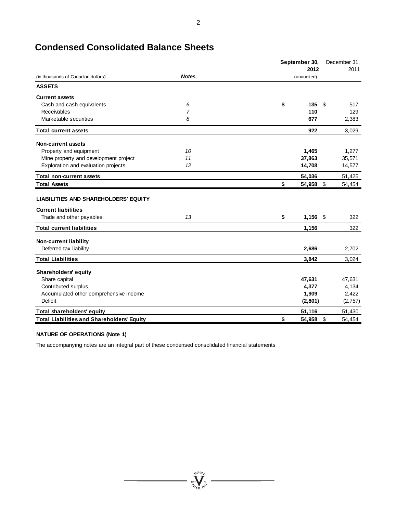|                                                                           |                | September 30,    | December 31, |  |
|---------------------------------------------------------------------------|----------------|------------------|--------------|--|
|                                                                           |                | 2012             | 2011         |  |
| (in thousands of Canadian dollars)                                        | <b>Notes</b>   | (unaudited)      |              |  |
| <b>ASSETS</b>                                                             |                |                  |              |  |
| <b>Current assets</b>                                                     |                |                  |              |  |
| Cash and cash equivalents                                                 | 6              | \$<br>135        | \$<br>517    |  |
| Receivables                                                               | $\overline{7}$ | 110              | 129          |  |
| Marketable securities                                                     | 8              | 677              | 2,383        |  |
| <b>Total current assets</b>                                               |                | 922              | 3,029        |  |
| <b>Non-current assets</b>                                                 |                |                  |              |  |
| Property and equipment                                                    | 10             | 1,465            | 1,277        |  |
| Mine property and development project                                     | 11             | 37,863           | 35,571       |  |
| Exploration and evaluation projects                                       | 12             | 14,708           | 14,577       |  |
| <b>Total non-current assets</b>                                           |                | 54,036           | 51,425       |  |
| <b>Total Assets</b>                                                       |                | \$<br>54,958     | \$<br>54,454 |  |
| <b>LIABILITIES AND SHAREHOLDERS' EQUITY</b><br><b>Current liabilities</b> |                |                  |              |  |
| Trade and other payables                                                  | 13             | \$<br>$1,156$ \$ | 322          |  |
| <b>Total current liabilities</b>                                          |                | 1,156            | 322          |  |
| <b>Non-current liability</b>                                              |                |                  |              |  |
| Deferred tax liability                                                    |                | 2,686            | 2,702        |  |
| <b>Total Liabilities</b>                                                  |                | 3,842            | 3,024        |  |
| <b>Shareholders' equity</b>                                               |                |                  |              |  |
| Share capital                                                             |                | 47,631           | 47,631       |  |
| Contributed surplus                                                       |                | 4,377            | 4,134        |  |
| Accumulated other comprehensive income                                    |                | 1,909            | 2,422        |  |
| Deficit                                                                   |                | (2,801)          | (2,757)      |  |
| Total shareholders' equity                                                |                | 51,116           | 51,430       |  |
| <b>Total Liabilities and Shareholders' Equity</b>                         |                | \$<br>54,958     | \$<br>54,454 |  |

# **Condensed Consolidated Balance Sheets**

### **NATURE OF OPERATIONS (Note 1)**

The accompanying notes are an integral part of these condensed consolidated financial statements

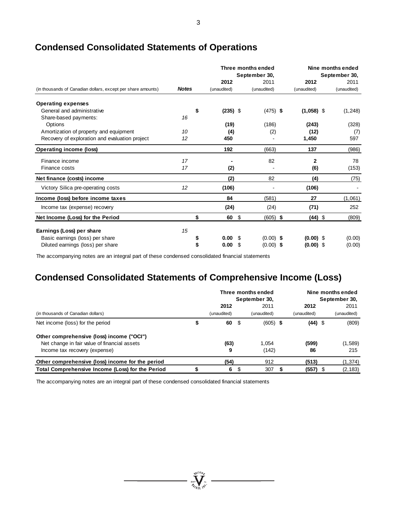|                                                              |              |                  | Three months ended<br>September 30, |              | Nine months ended<br>September 30, |
|--------------------------------------------------------------|--------------|------------------|-------------------------------------|--------------|------------------------------------|
|                                                              |              | 2012             | 2011                                | 2012         | 2011                               |
| (in thousands of Canadian dollars, except per share amounts) | <b>Notes</b> | (unaudited)      | (unaudited)                         | (unaudited)  | (unaudited)                        |
| <b>Operating expenses</b>                                    |              |                  |                                     |              |                                    |
| General and administrative                                   |              | \$<br>$(235)$ \$ | $(475)$ \$                          | $(1,058)$ \$ | (1, 248)                           |
| Share-based payments:                                        | 16           |                  |                                     |              |                                    |
| Options                                                      |              | (19)             | (186)                               | (243)        | (328)                              |
| Amortization of property and equipment                       | 10           | (4)              | (2)                                 | (12)         | (7)                                |
| Recovery of exploration and evaluation project               | 12           | 450              |                                     | 1,450        | 597                                |
| <b>Operating income (loss)</b>                               |              | 192              | (663)                               | 137          | (986)                              |
| Finance income                                               | 17           |                  | 82                                  | $\mathbf{2}$ | 78                                 |
| Finance costs                                                | 17           | (2)              |                                     | (6)          | (153)                              |
| Net finance (costs) income                                   |              | (2)              | 82                                  | (4)          | (75)                               |
| Victory Silica pre-operating costs                           | 12           | (106)            |                                     | (106)        |                                    |
| Income (loss) before income taxes                            |              | 84               | (581)                               | 27           | (1,061)                            |
| Income tax (expense) recovery                                |              | (24)             | (24)                                | (71)         | 252                                |
| Net Income (Loss) for the Period                             |              | \$<br>60         | \$<br>$(605)$ \$                    | $(44)$ \$    | (809)                              |
| Earnings (Loss) per share                                    | 15           |                  |                                     |              |                                    |
| Basic earnings (loss) per share                              |              | 0.00             | \$<br>$(0.00)$ \$                   | $(0.00)$ \$  | (0.00)                             |
| Diluted earnings (loss) per share                            |              | 0.00             | \$<br>$(0.00)$ \$                   | $(0.00)$ \$  | (0.00)                             |

# **Condensed Consolidated Statements of Operations**

The accompanying notes are an integral part of these condensed consolidated financial statements

# **Condensed Consolidated Statements of Comprehensive Income (Loss)**

|                                                  | Three months ended<br>September 30, |      |             | Nine months ended<br>September 30, |             |    |             |  |
|--------------------------------------------------|-------------------------------------|------|-------------|------------------------------------|-------------|----|-------------|--|
|                                                  | 2012                                |      | 2011        |                                    | 2012        |    | 2011        |  |
| (in thousands of Canadian dollars)               | (unaudited)                         |      | (unaudited) |                                    | (unaudited) |    | (unaudited) |  |
| Net income (loss) for the period                 | 60                                  | - \$ | $(605)$ \$  |                                    | $(44)$ \$   |    | (809)       |  |
| Other comprehensive (loss) income ("OCI")        |                                     |      |             |                                    |             |    |             |  |
| Net change in fair value of financial assets     | (63)                                |      | 1.054       |                                    | (599)       |    | (1,589)     |  |
| Income tax recovery (expense)                    | 9                                   |      | (142)       |                                    | 86          |    | 215         |  |
| Other comprehensive (loss) income for the period | (54)                                |      | 912         |                                    | (513)       |    | (1, 374)    |  |
| Total Comprehensive Income (Loss) for the Period | 6                                   | \$   | 307         | 5                                  | (557)       | -S | (2, 183)    |  |

 $\sum_{i=1}^{N^{(10)}_{\ell}}\sum_{j\in I_{i}}^{N^{(1)}}$ 

The accompanying notes are an integral part of these condensed consolidated financial statements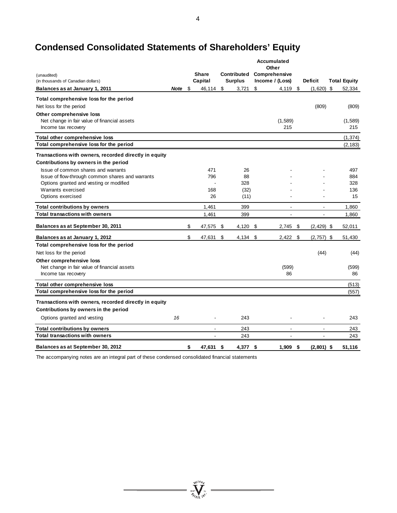# **Condensed Consolidated Statements of Shareholders' Equity**

|                                                       |      |                 |                | Accumulated<br>Other |                     |                     |
|-------------------------------------------------------|------|-----------------|----------------|----------------------|---------------------|---------------------|
| (unaudited)                                           |      | <b>Share</b>    | Contributed    | Comprehensive        |                     |                     |
| (in thousands of Canadian dollars)                    |      | Capital         | <b>Surplus</b> | Income / (Loss)      | <b>Deficit</b>      | <b>Total Equity</b> |
| Balances as at January 1, 2011                        | Note | \$<br>46,114    | \$<br>3,721    | \$<br>4,119          | \$<br>(1,620)       | \$<br>52,334        |
| Total comprehensive loss for the period               |      |                 |                |                      |                     |                     |
| Net loss for the period                               |      |                 |                |                      | (809)               | (809)               |
| Other comprehensive loss                              |      |                 |                |                      |                     |                     |
| Net change in fair value of financial assets          |      |                 |                | (1,589)              |                     | (1,589)             |
| Income tax recovery                                   |      |                 |                | 215                  |                     | 215                 |
| Total other comprehensive loss                        |      |                 |                |                      |                     | (1, 374)            |
| Total comprehensive loss for the period               |      |                 |                |                      |                     | (2, 183)            |
| Transactions with owners, recorded directly in equity |      |                 |                |                      |                     |                     |
| Contributions by owners in the period                 |      |                 |                |                      |                     |                     |
| Issue of common shares and warrants                   |      | 471             | 26             |                      |                     | 497                 |
| Issue of flow-through common shares and warrants      |      | 796             | 88             |                      |                     | 884                 |
| Options granted and vesting or modified               |      |                 | 328            |                      |                     | 328                 |
| Warrants exercised                                    |      | 168             | (32)           |                      |                     | 136                 |
| Options exercised                                     |      | 26              | (11)           |                      |                     | 15                  |
| Total contributions by owners                         |      | 1,461           | 399            | $\sim$               | $\overline{a}$      | 1,860               |
| <b>Total transactions with owners</b>                 |      | 1,461           | 399            |                      |                     | 1,860               |
| Balances as at September 30, 2011                     |      | \$<br>47,575    | \$<br>4,120    | \$<br>2,745          | \$<br>$(2, 429)$ \$ | 52,011              |
| Balances as at January 1, 2012                        |      | \$<br>47,631    | \$<br>4,134    | \$<br>2,422          | \$<br>$(2,757)$ \$  | 51,430              |
| Total comprehensive loss for the period               |      |                 |                |                      |                     |                     |
| Net loss for the period                               |      |                 |                |                      | (44)                | (44)                |
| Other comprehensive loss                              |      |                 |                |                      |                     |                     |
| Net change in fair value of financial assets          |      |                 |                | (599)                |                     | (599)               |
| Income tax recovery                                   |      |                 |                | 86                   |                     | 86                  |
| Total other comprehensive loss                        |      |                 |                |                      |                     | (513)               |
| Total comprehensive loss for the period               |      |                 |                |                      |                     | (557)               |
| Transactions with owners, recorded directly in equity |      |                 |                |                      |                     |                     |
| Contributions by owners in the period                 |      |                 |                |                      |                     |                     |
| Options granted and vesting                           | 16   |                 | 243            |                      |                     | 243                 |
| <b>Total contributions by owners</b>                  |      |                 | 243            | $\overline{a}$       | ٠                   | 243                 |
| <b>Total transactions with owners</b>                 |      |                 | 243            |                      |                     | 243                 |
|                                                       |      |                 |                |                      |                     |                     |
| Balances as at September 30, 2012                     |      | \$<br>47,631 \$ | 4.377 S        | $1,909$ \$           | $(2,801)$ \$        | 51,116              |

 $\frac{\sum_{\substack{\text{real} \\ \text{all}}}}{\sum_{\substack{\text{real} \\ \text{all}}}}$ 

The accompanying notes are an integral part of these condensed consolidated financial statements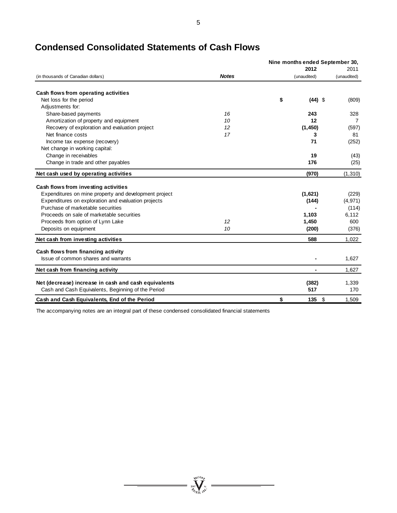|                                                       |              | Nine months ended September 30, |             |  |
|-------------------------------------------------------|--------------|---------------------------------|-------------|--|
|                                                       |              | 2012                            | 2011        |  |
| (in thousands of Canadian dollars)                    | <b>Notes</b> | (unaudited)                     | (unaudited) |  |
| Cash flows from operating activities                  |              |                                 |             |  |
| Net loss for the period                               |              | \$<br>$(44)$ \$                 | (809)       |  |
| Adjustments for:                                      |              |                                 |             |  |
| Share-based payments                                  | 16           | 243                             | 328         |  |
| Amortization of property and equipment                | 10           | 12                              | 7           |  |
| Recovery of exploration and evaluation project        | 12           | (1, 450)                        | (597)       |  |
| Net finance costs                                     | 17           | 3                               | 81          |  |
| Income tax expense (recovery)                         |              | 71                              | (252)       |  |
| Net change in working capital:                        |              |                                 |             |  |
| Change in receivables                                 |              | 19                              | (43)        |  |
| Change in trade and other payables                    |              | 176                             | (25)        |  |
| Net cash used by operating activities                 |              | (970)                           | (1, 310)    |  |
| Cash flows from investing activities                  |              |                                 |             |  |
| Expenditures on mine property and development project |              | (1,621)                         | (229)       |  |
| Expenditures on exploration and evaluation projects   |              | (144)                           | (4, 971)    |  |
| Purchase of marketable securities                     |              |                                 | (114)       |  |
| Proceeds on sale of marketable securities             |              | 1,103                           | 6,112       |  |
| Proceeds from option of Lynn Lake                     | 12           | 1,450                           | 600         |  |
| Deposits on equipment                                 | 10           | (200)                           | (376)       |  |
| Net cash from investing activities                    |              | 588                             | 1,022       |  |
| Cash flows from financing activity                    |              |                                 |             |  |
| Issue of common shares and warrants                   |              |                                 | 1,627       |  |
| Net cash from financing activity                      |              |                                 | 1,627       |  |
| Net (decrease) increase in cash and cash equivalents  |              | (382)                           | 1,339       |  |
| Cash and Cash Equivalents, Beginning of the Period    |              | 517                             | 170         |  |
| Cash and Cash Equivalents, End of the Period          |              | \$<br>$135 \t$$                 | 1.509       |  |

# **Condensed Consolidated Statements of Cash Flows**

The accompanying notes are an integral part of these condensed consolidated financial statements

5

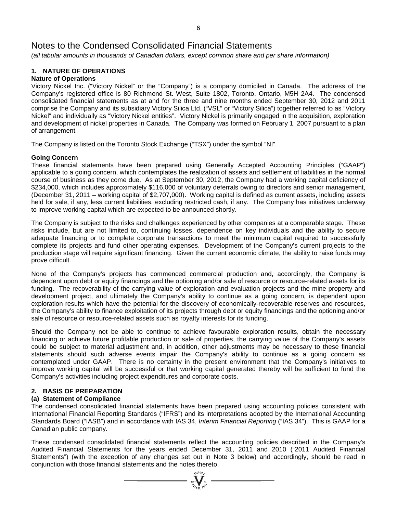*(all tabular amounts in thousands of Canadian dollars, except common share and per share information)*

# **1. NATURE OF OPERATIONS**

# **Nature of Operations**

Victory Nickel Inc. ("Victory Nickel" or the "Company") is a company domiciled in Canada. The address of the Company's registered office is 80 Richmond St. West, Suite 1802, Toronto, Ontario, M5H 2A4. The condensed consolidated financial statements as at and for the three and nine months ended September 30, 2012 and 2011 comprise the Company and its subsidiary Victory Silica Ltd. ("VSL" or "Victory Silica") together referred to as "Victory Nickel" and individually as "Victory Nickel entities". Victory Nickel is primarily engaged in the acquisition, exploration and development of nickel properties in Canada. The Company was formed on February 1, 2007 pursuant to a plan of arrangement.

The Company is listed on the Toronto Stock Exchange ("TSX") under the symbol "NI".

### **Going Concern**

These financial statements have been prepared using Generally Accepted Accounting Principles ("GAAP") applicable to a going concern, which contemplates the realization of assets and settlement of liabilities in the normal course of business as they come due. As at September 30, 2012, the Company had a working capital deficiency of \$234,000, which includes approximately \$116,000 of voluntary deferrals owing to directors and senior management, (December 31, 2011 – working capital of \$2,707,000). Working capital is defined as current assets, including assets held for sale, if any, less current liabilities, excluding restricted cash, if any. The Company has initiatives underway to improve working capital which are expected to be announced shortly.

The Company is subject to the risks and challenges experienced by other companies at a comparable stage. These risks include, but are not limited to, continuing losses, dependence on key individuals and the ability to secure adequate financing or to complete corporate transactions to meet the minimum capital required to successfully complete its projects and fund other operating expenses. Development of the Company's current projects to the production stage will require significant financing. Given the current economic climate, the ability to raise funds may prove difficult.

None of the Company's projects has commenced commercial production and, accordingly, the Company is dependent upon debt or equity financings and the optioning and/or sale of resource or resource-related assets for its funding. The recoverability of the carrying value of exploration and evaluation projects and the mine property and development project, and ultimately the Company's ability to continue as a going concern, is dependent upon exploration results which have the potential for the discovery of economically-recoverable reserves and resources, the Company's ability to finance exploitation of its projects through debt or equity financings and the optioning and/or sale of resource or resource-related assets such as royalty interests for its funding.

Should the Company not be able to continue to achieve favourable exploration results, obtain the necessary financing or achieve future profitable production or sale of properties, the carrying value of the Company's assets could be subject to material adjustment and, in addition, other adjustments may be necessary to these financial statements should such adverse events impair the Company's ability to continue as a going concern as contemplated under GAAP. There is no certainty in the present environment that the Company's initiatives to improve working capital will be successful or that working capital generated thereby will be sufficient to fund the Company's activities including project expenditures and corporate costs.

### **2. BASIS OF PREPARATION**

## **(a) Statement of Compliance**

The condensed consolidated financial statements have been prepared using accounting policies consistent with International Financial Reporting Standards ("IFRS") and its interpretations adopted by the International Accounting Standards Board ("IASB") and in accordance with IAS 34, *Interim Financial Reporting* ("IAS 34"). This is GAAP for a Canadian public company.

These condensed consolidated financial statements reflect the accounting policies described in the Company's Audited Financial Statements for the years ended December 31, 2011 and 2010 ("2011 Audited Financial Statements") (with the exception of any changes set out in Note 3 below) and accordingly, should be read in conjunction with those financial statements and the notes thereto.

 $\sum_{\substack{300 \text{ N} \\ \text{on } \text{N}}} \sum_{\substack{N=1 \\ \text{on } \text{N}}} \frac{1}{N}$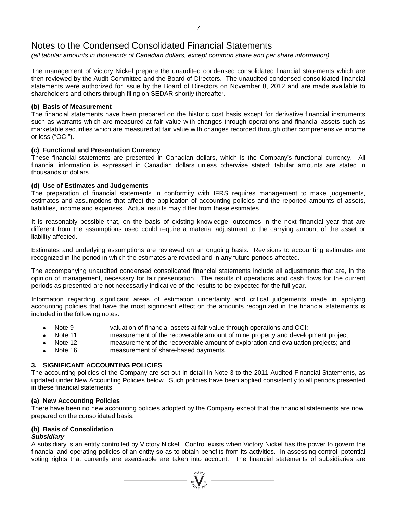*(all tabular amounts in thousands of Canadian dollars, except common share and per share information)*

The management of Victory Nickel prepare the unaudited condensed consolidated financial statements which are then reviewed by the Audit Committee and the Board of Directors. The unaudited condensed consolidated financial statements were authorized for issue by the Board of Directors on November 8, 2012 and are made available to shareholders and others through filing on SEDAR shortly thereafter.

## **(b) Basis of Measurement**

The financial statements have been prepared on the historic cost basis except for derivative financial instruments such as warrants which are measured at fair value with changes through operations and financial assets such as marketable securities which are measured at fair value with changes recorded through other comprehensive income or loss ("OCI").

## **(c) Functional and Presentation Currency**

These financial statements are presented in Canadian dollars, which is the Company's functional currency. All financial information is expressed in Canadian dollars unless otherwise stated; tabular amounts are stated in thousands of dollars.

## **(d) Use of Estimates and Judgements**

The preparation of financial statements in conformity with IFRS requires management to make judgements, estimates and assumptions that affect the application of accounting policies and the reported amounts of assets, liabilities, income and expenses. Actual results may differ from these estimates.

It is reasonably possible that, on the basis of existing knowledge, outcomes in the next financial year that are different from the assumptions used could require a material adjustment to the carrying amount of the asset or liability affected.

Estimates and underlying assumptions are reviewed on an ongoing basis. Revisions to accounting estimates are recognized in the period in which the estimates are revised and in any future periods affected.

The accompanying unaudited condensed consolidated financial statements include all adjustments that are, in the opinion of management, necessary for fair presentation. The results of operations and cash flows for the current periods as presented are not necessarily indicative of the results to be expected for the full year.

Information regarding significant areas of estimation uncertainty and critical judgements made in applying accounting policies that have the most significant effect on the amounts recognized in the financial statements is included in the following notes:

- valuation of financial assets at fair value through operations and OCI;<br>Note 11 measurement of the recoverable amount of mine property and develo
- measurement of the recoverable amount of mine property and development project;
- Note 12 measurement of the recoverable amount of exploration and evaluation projects; and
- Note 16 measurement of share-based payments.

### **3. SIGNIFICANT ACCOUNTING POLICIES**

The accounting policies of the Company are set out in detail in Note 3 to the 2011 Audited Financial Statements, as updated under New Accounting Policies below. Such policies have been applied consistently to all periods presented in these financial statements.

### **(a) New Accounting Policies**

There have been no new accounting policies adopted by the Company except that the financial statements are now prepared on the consolidated basis.

### **(b) Basis of Consolidation**

### *Subsidiary*

A subsidiary is an entity controlled by Victory Nickel. Control exists when Victory Nickel has the power to govern the financial and operating policies of an entity so as to obtain benefits from its activities. In assessing control, potential voting rights that currently are exercisable are taken into account. The financial statements of subsidiaries are

 $\sum_{u=1}^{n} \sum_{\substack{u \in \mathcal{U} \\ u \in \mathcal{U}}} \sum_{u \in \mathcal{U}} \mathcal{U}^{(u)}$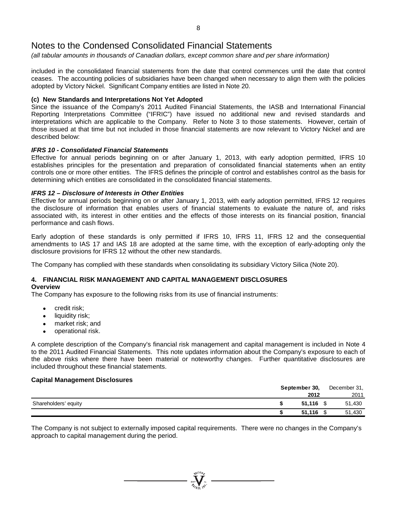*(all tabular amounts in thousands of Canadian dollars, except common share and per share information)*

included in the consolidated financial statements from the date that control commences until the date that control ceases. The accounting policies of subsidiaries have been changed when necessary to align them with the policies adopted by Victory Nickel. Significant Company entities are listed in Note 20.

### **(c) New Standards and Interpretations Not Yet Adopted**

Since the issuance of the Company's 2011 Audited Financial Statements, the IASB and International Financial Reporting Interpretations Committee ("IFRIC") have issued no additional new and revised standards and interpretations which are applicable to the Company. Refer to Note 3 to those statements. However, certain of those issued at that time but not included in those financial statements are now relevant to Victory Nickel and are described below:

### *IFRS 10 - Consolidated Financial Statements*

Effective for annual periods beginning on or after January 1, 2013, with early adoption permitted, IFRS 10 establishes principles for the presentation and preparation of consolidated financial statements when an entity controls one or more other entities. The IFRS defines the principle of control and establishes control as the basis for determining which entities are consolidated in the consolidated financial statements.

### *IFRS 12 – Disclosure of Interests in Other Entities*

Effective for annual periods beginning on or after January 1, 2013, with early adoption permitted, IFRS 12 requires the disclosure of information that enables users of financial statements to evaluate the nature of, and risks associated with, its interest in other entities and the effects of those interests on its financial position, financial performance and cash flows.

Early adoption of these standards is only permitted if IFRS 10, IFRS 11, IFRS 12 and the consequential amendments to IAS 17 and IAS 18 are adopted at the same time, with the exception of early-adopting only the disclosure provisions for IFRS 12 without the other new standards.

The Company has complied with these standards when consolidating its subsidiary Victory Silica (Note 20).

# **4. FINANCIAL RISK MANAGEMENT AND CAPITAL MANAGEMENT DISCLOSURES**

### **Overview**

The Company has exposure to the following risks from its use of financial instruments:

- credit risk;
- liquidity risk;
- market risk; and
- operational risk.

A complete description of the Company's financial risk management and capital management is included in Note 4 to the 2011 Audited Financial Statements. This note updates information about the Company's exposure to each of the above risks where there have been material or noteworthy changes. Further quantitative disclosures are included throughout these financial statements.

### **Capital Management Disclosures**

|                      | September 30, |             |  | December 31, |  |  |
|----------------------|---------------|-------------|--|--------------|--|--|
|                      |               | 2012        |  | 2011         |  |  |
| Shareholders' equity |               | $51,116$ \$ |  | 51,430       |  |  |
|                      |               | 51.116      |  | 51,430       |  |  |

The Company is not subject to externally imposed capital requirements. There were no changes in the Company's approach to capital management during the period.

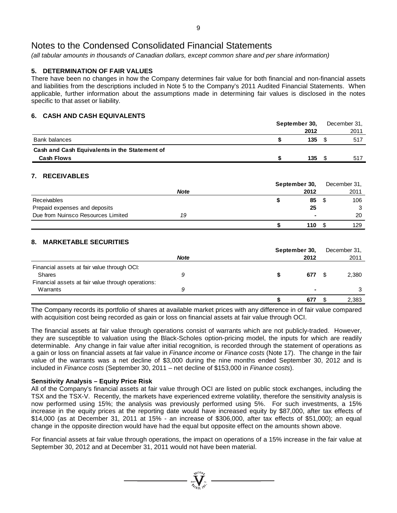*(all tabular amounts in thousands of Canadian dollars, except common share and per share information)*

# **5. DETERMINATION OF FAIR VALUES**

There have been no changes in how the Company determines fair value for both financial and non-financial assets and liabilities from the descriptions included in Note 5 to the Company's 2011 Audited Financial Statements. When applicable, further information about the assumptions made in determining fair values is disclosed in the notes specific to that asset or liability.

# **6. CASH AND CASH EQUIVALENTS**

|                                               | September 30, |      |  | December 31, |
|-----------------------------------------------|---------------|------|--|--------------|
|                                               |               | 2012 |  | 2011         |
| Bank balances                                 |               | 135  |  | 517          |
| Cash and Cash Equivalents in the Statement of |               |      |  |              |
| <b>Cash Flows</b>                             |               | 135  |  | 517          |

# **7. RECEIVABLES**

|                                    |             | September 30, | December 31, |
|------------------------------------|-------------|---------------|--------------|
|                                    | <b>Note</b> | 2012          | 2011         |
| <b>Receivables</b>                 |             | 85            | 106          |
| Prepaid expenses and deposits      |             | 25            | ີ            |
| Due from Nuinsco Resources Limited | 19          | ۰             | 20           |
|                                    |             | 110           | 129          |

# **8. MARKETABLE SECURITIES**

|                                                    |             | September 30, | December 31, |
|----------------------------------------------------|-------------|---------------|--------------|
|                                                    | <b>Note</b> | 2012          | 2011         |
| Financial assets at fair value through OCI:        |             |               |              |
| Shares                                             | 9           | 677           | 2,380        |
| Financial assets at fair value through operations: |             |               |              |
| Warrants                                           | 9           |               | 3            |
|                                                    |             | 677           | 2,383        |

The Company records its portfolio of shares at available market prices with any difference in of fair value compared with acquisition cost being recorded as gain or loss on financial assets at fair value through OCI.

The financial assets at fair value through operations consist of warrants which are not publicly-traded. However, they are susceptible to valuation using the Black-Scholes option-pricing model, the inputs for which are readily determinable. Any change in fair value after initial recognition, is recorded through the statement of operations as a gain or loss on financial assets at fair value in *Finance income* or *Finance costs* (Note 17). The change in the fair value of the warrants was a net decline of \$3,000 during the nine months ended September 30, 2012 and is included in *Finance costs* (September 30, 2011 – net decline of \$153,000 in *Finance costs*).

# **Sensitivity Analysis – Equity Price Risk**

All of the Company's financial assets at fair value through OCI are listed on public stock exchanges, including the TSX and the TSX-V. Recently, the markets have experienced extreme volatility, therefore the sensitivity analysis is now performed using 15%; the analysis was previously performed using 5%. For such investments, a 15% increase in the equity prices at the reporting date would have increased equity by \$87,000, after tax effects of \$14,000 (as at December 31, 2011 at 15% - an increase of \$306,000, after tax effects of \$51,000); an equal change in the opposite direction would have had the equal but opposite effect on the amounts shown above.

For financial assets at fair value through operations, the impact on operations of a 15% increase in the fair value at September 30, 2012 and at December 31, 2011 would not have been material.

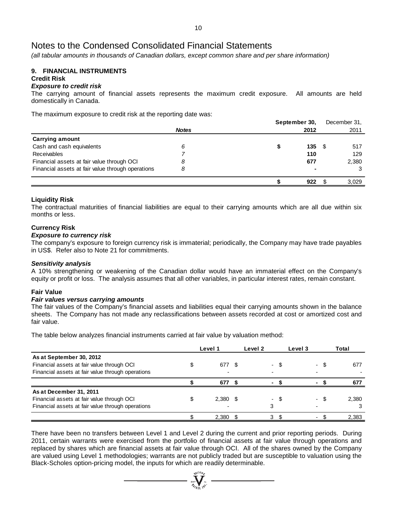*(all tabular amounts in thousands of Canadian dollars, except common share and per share information)*

#### **9. FINANCIAL INSTRUMENTS Credit Risk**

# *Exposure to credit risk*

The carrying amount of financial assets represents the maximum credit exposure. All amounts are held domestically in Canada.

The maximum exposure to credit risk at the reporting date was:

|                                                   |              | September 30, |      | December 31, |
|---------------------------------------------------|--------------|---------------|------|--------------|
|                                                   | <b>Notes</b> | 2012          |      | 2011         |
| <b>Carrying amount</b>                            |              |               |      |              |
| Cash and cash equivalents                         | 6            | 135           | - \$ | 517          |
| Receivables                                       |              | 110           |      | 129          |
| Financial assets at fair value through OCI        | 8            | 677           |      | 2,380        |
| Financial assets at fair value through operations | 8            |               |      |              |
|                                                   |              | 922           |      | 3,029        |

### **Liquidity Risk**

The contractual maturities of financial liabilities are equal to their carrying amounts which are all due within six months or less.

### **Currency Risk**

### *Exposure to currency risk*

The company's exposure to foreign currency risk is immaterial; periodically, the Company may have trade payables in US\$. Refer also to Note 21 for commitments.

### *Sensitivity analysis*

A 10% strengthening or weakening of the Canadian dollar would have an immaterial effect on the Company's equity or profit or loss. The analysis assumes that all other variables, in particular interest rates, remain constant.

### **Fair Value**

### *Fair values versus carrying amounts*

The fair values of the Company's financial assets and liabilities equal their carrying amounts shown in the balance sheets. The Company has not made any reclassifications between assets recorded at cost or amortized cost and fair value.

The table below analyzes financial instruments carried at fair value by valuation method:

|                                                   | Level 1    | Level 2 |      | Level 3 |     | Total |
|---------------------------------------------------|------------|---------|------|---------|-----|-------|
| As at September 30, 2012                          |            |         |      |         |     |       |
| Financial assets at fair value through OCI        | 677        |         | - \$ |         | \$. | 677   |
| Financial assets at fair value through operations |            |         |      |         |     |       |
|                                                   | 677        |         |      |         |     | 677   |
| As at December 31, 2011                           |            |         |      |         |     |       |
| Financial assets at fair value through OCI        | $2,380$ \$ |         | - S  |         |     | 2,380 |
| Financial assets at fair value through operations |            | 3       |      |         |     |       |
|                                                   | 2,380      | 3       |      |         |     | 2,383 |

There have been no transfers between Level 1 and Level 2 during the current and prior reporting periods. During 2011, certain warrants were exercised from the portfolio of financial assets at fair value through operations and replaced by shares which are financial assets at fair value through OCI. All of the shares owned by the Company are valued using Level 1 methodologies; warrants are not publicly traded but are susceptible to valuation using the Black-Scholes option-pricing model, the inputs for which are readily determinable.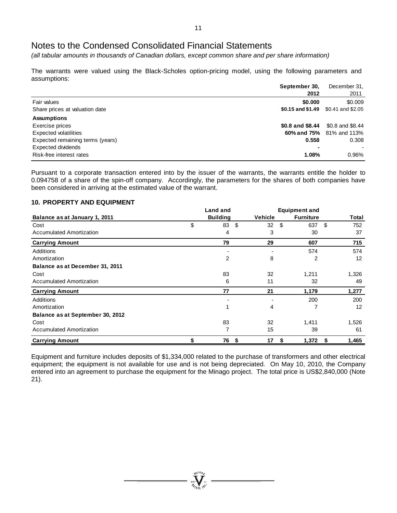*(all tabular amounts in thousands of Canadian dollars, except common share and per share information)*

The warrants were valued using the Black-Scholes option-pricing model, using the following parameters and assumptions:

|                                  | September 30,     | December 31,             |
|----------------------------------|-------------------|--------------------------|
|                                  | 2012              | 2011                     |
| Fair values                      | \$0.000           | \$0.009                  |
| Share prices at valuation date   | \$0.15 and \$1.49 | \$0.41 and \$2.05        |
| <b>Assumptions</b>               |                   |                          |
| Exercise prices                  | \$0.8 and \$8.44  | \$0.8 and \$8.44         |
| Expected volatilities            |                   | 60% and 75% 81% and 113% |
| Expected remaining terms (years) | 0.558             | 0.308                    |
| <b>Expected dividends</b>        |                   |                          |
| Risk-free interest rates         | 1.08%             | 0.96%                    |

Pursuant to a corporate transaction entered into by the issuer of the warrants, the warrants entitle the holder to 0.094758 of a share of the spin-off company. Accordingly, the parameters for the shares of both companies have been considered in arriving at the estimated value of the warrant.

### **10. PROPERTY AND EQUIPMENT**

|                                  | <b>Land and</b> |                 |      |                | <b>Equipment and</b> |                  |      |       |
|----------------------------------|-----------------|-----------------|------|----------------|----------------------|------------------|------|-------|
| Balance as at January 1, 2011    |                 | <b>Building</b> |      | <b>Vehicle</b> |                      | <b>Furniture</b> |      | Total |
| Cost                             | \$              | 83              | - \$ | 32             | \$                   | 637              | - \$ | 752   |
| <b>Accumulated Amortization</b>  |                 | 4               |      | 3              |                      | 30               |      | 37    |
| <b>Carrying Amount</b>           |                 | 79              |      | 29             |                      | 607              |      | 715   |
| Additions                        |                 |                 |      |                |                      | 574              |      | 574   |
| Amortization                     |                 | 2               |      | 8              |                      | 2                |      | 12    |
| Balance as at December 31, 2011  |                 |                 |      |                |                      |                  |      |       |
| Cost                             |                 | 83              |      | 32             |                      | 1,211            |      | 1,326 |
| <b>Accumulated Amortization</b>  |                 | 6               |      | 11             |                      | 32               |      | 49    |
| <b>Carrying Amount</b>           |                 | 77              |      | 21             |                      | 1,179            |      | 1,277 |
| Additions                        |                 |                 |      |                |                      | 200              |      | 200   |
| Amortization                     |                 |                 |      | 4              |                      |                  |      | 12    |
| Balance as at September 30, 2012 |                 |                 |      |                |                      |                  |      |       |
| Cost                             |                 | 83              |      | 32             |                      | 1,411            |      | 1,526 |
| <b>Accumulated Amortization</b>  |                 | 7               |      | 15             |                      | 39               |      | 61    |
| <b>Carrying Amount</b>           | \$              | 76              | - \$ | 17             | \$                   | 1,372            | - \$ | 1,465 |

Equipment and furniture includes deposits of \$1,334,000 related to the purchase of transformers and other electrical equipment; the equipment is not available for use and is not being depreciated. On May 10, 2010, the Company entered into an agreement to purchase the equipment for the Minago project. The total price is US\$2,840,000 (Note 21).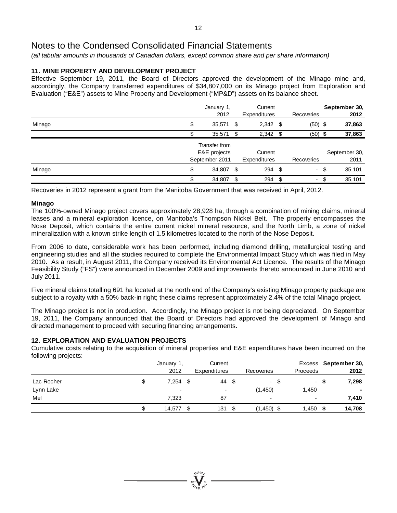*(all tabular amounts in thousands of Canadian dollars, except common share and per share information)*

# **11. MINE PROPERTY AND DEVELOPMENT PROJECT**

Effective September 19, 2011, the Board of Directors approved the development of the Minago mine and, accordingly, the Company transferred expenditures of \$34,807,000 on its Minago project from Exploration and Evaluation ("E&E") assets to Mine Property and Development ("MP&D") assets on its balance sheet.

|        | January 1,      |      | Current             |            |      | September 30, |
|--------|-----------------|------|---------------------|------------|------|---------------|
|        | 2012            |      | Expenditures        | Recoveries |      | 2012          |
| Minago | \$<br>35,571    | - \$ | $2,342$ \$          | $(50)$ \$  |      | 37,863        |
|        | 35,571          | \$   | $2,342$ \$          | $(50)$ \$  |      | 37,863        |
|        | Transfer from   |      |                     |            |      |               |
|        | E&E projects    |      | Current             |            |      | September 30, |
|        | September 2011  |      | <b>Expenditures</b> | Recoveries |      | 2011          |
| Minago | \$<br>34,807 \$ |      | $294$ \$            |            | - \$ | 35,101        |
|        | 34,807 \$       |      | $294$ \$            | -          |      | 35,101        |

Recoveries in 2012 represent a grant from the Manitoba Government that was received in April, 2012.

### **Minago**

The 100%-owned Minago project covers approximately 28,928 ha, through a combination of mining claims, mineral leases and a mineral exploration licence, on Manitoba's Thompson Nickel Belt. The property encompasses the Nose Deposit, which contains the entire current nickel mineral resource, and the North Limb, a zone of nickel mineralization with a known strike length of 1.5 kilometres located to the north of the Nose Deposit.

From 2006 to date, considerable work has been performed, including diamond drilling, metallurgical testing and engineering studies and all the studies required to complete the Environmental Impact Study which was filed in May 2010. As a result, in August 2011, the Company received its Environmental Act Licence. The results of the Minago Feasibility Study ("FS") were announced in December 2009 and improvements thereto announced in June 2010 and July 2011.

Five mineral claims totalling 691 ha located at the north end of the Company's existing Minago property package are subject to a royalty with a 50% back-in right; these claims represent approximately 2.4% of the total Minago project.

The Minago project is not in production. Accordingly, the Minago project is not being depreciated. On September 19, 2011, the Company announced that the Board of Directors had approved the development of Minago and directed management to proceed with securing financing arrangements.

### **12. EXPLORATION AND EVALUATION PROJECTS**

Cumulative costs relating to the acquisition of mineral properties and E&E expenditures have been incurred on the following projects:

|            | January 1,<br>2012 | Current<br><b>Expenditures</b> |      | Recoveries               | Proceeds                 |     | Excess September 30,<br>2012 |
|------------|--------------------|--------------------------------|------|--------------------------|--------------------------|-----|------------------------------|
| Lac Rocher | 7,254              | 44                             | - \$ | - \$                     |                          | - S | 7,298                        |
| Lynn Lake  | ۰                  | $\overline{\phantom{a}}$       |      | (1, 450)                 | 1,450                    |     | ۰.                           |
| Mel        | 7,323              | 87                             |      | $\overline{\phantom{a}}$ | $\overline{\phantom{a}}$ |     | 7,410                        |
|            | 14,577             | 131                            | \$.  | $(1,450)$ \$             | 1,450                    | - S | 14,708                       |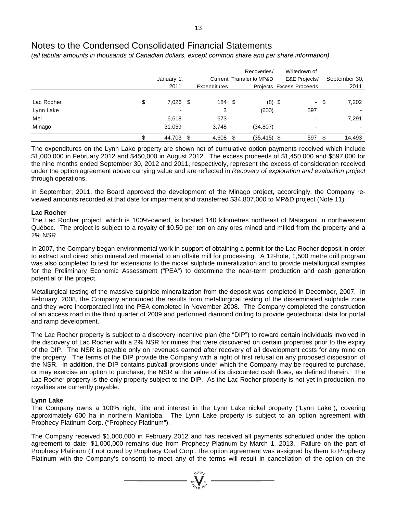*(all tabular amounts in thousands of Canadian dollars, except common share and per share information)*

|                  | January 1,<br>2011       |      | Expenditures |      | Recoveries/<br>Current Transfer to MP&D |      | Writedown of<br>E&E Projects/<br>Projects Excess Proceeds |     | September 30,<br>2011 |
|------------------|--------------------------|------|--------------|------|-----------------------------------------|------|-----------------------------------------------------------|-----|-----------------------|
| Lac Rocher<br>\$ | 7,026                    | - \$ | 184          | - \$ | $(8)$ \$                                |      | - \$                                                      |     | 7,202                 |
| Lynn Lake        | $\overline{\phantom{0}}$ |      | 3            |      | (600)                                   |      | 597                                                       |     |                       |
| Mel              | 6,618                    |      | 673          |      | -                                       |      | $\overline{a}$                                            |     | 7,291                 |
| Minago           | 31,059                   |      | 3,748        |      | (34, 807)                               |      | ٠                                                         |     |                       |
|                  | 44,703                   | \$   | 4,608        | \$   | (35, 415)                               | - \$ | 597                                                       | \$. | 14,493                |

The expenditures on the Lynn Lake property are shown net of cumulative option payments received which include \$1,000,000 in February 2012 and \$450,000 in August 2012. The excess proceeds of \$1,450,000 and \$597,000 for the nine months ended September 30, 2012 and 2011, respectively, represent the excess of consideration received under the option agreement above carrying value and are reflected in *Recovery of exploration and evaluation project* through operations.

In September, 2011, the Board approved the development of the Minago project, accordingly, the Company reviewed amounts recorded at that date for impairment and transferred \$34,807,000 to MP&D project (Note 11).

## **Lac Rocher**

The Lac Rocher project, which is 100%-owned, is located 140 kilometres northeast of Matagami in northwestern Québec. The project is subject to a royalty of \$0.50 per ton on any ores mined and milled from the property and a 2% NSR.

In 2007, the Company began environmental work in support of obtaining a permit for the Lac Rocher deposit in order to extract and direct ship mineralized material to an offsite mill for processing. A 12-hole, 1,500 metre drill program was also completed to test for extensions to the nickel sulphide mineralization and to provide metallurgical samples for the Preliminary Economic Assessment ("PEA") to determine the near-term production and cash generation potential of the project.

Metallurgical testing of the massive sulphide mineralization from the deposit was completed in December, 2007. In February, 2008, the Company announced the results from metallurgical testing of the disseminated sulphide zone and they were incorporated into the PEA completed in November 2008. The Company completed the construction of an access road in the third quarter of 2009 and performed diamond drilling to provide geotechnical data for portal and ramp development.

The Lac Rocher property is subject to a discovery incentive plan (the "DIP") to reward certain individuals involved in the discovery of Lac Rocher with a 2% NSR for mines that were discovered on certain properties prior to the expiry of the DIP. The NSR is payable only on revenues earned after recovery of all development costs for any mine on the property. The terms of the DIP provide the Company with a right of first refusal on any proposed disposition of the NSR. In addition, the DIP contains put/call provisions under which the Company may be required to purchase, or may exercise an option to purchase, the NSR at the value of its discounted cash flows, as defined therein. The Lac Rocher property is the only property subject to the DIP. As the Lac Rocher property is not yet in production, no royalties are currently payable.

### **Lynn Lake**

The Company owns a 100% right, title and interest in the Lynn Lake nickel property ("Lynn Lake"), covering approximately 600 ha in northern Manitoba. The Lynn Lake property is subject to an option agreement with Prophecy Platinum Corp. ("Prophecy Platinum").

The Company received \$1,000,000 in February 2012 and has received all payments scheduled under the option agreement to date; \$1,000,000 remains due from Prophecy Platinum by March 1, 2013. Failure on the part of Prophecy Platinum (if not cured by Prophecy Coal Corp., the option agreement was assigned by them to Prophecy Platinum with the Company's consent) to meet any of the terms will result in cancellation of the option on the

 $\sum_{2007}$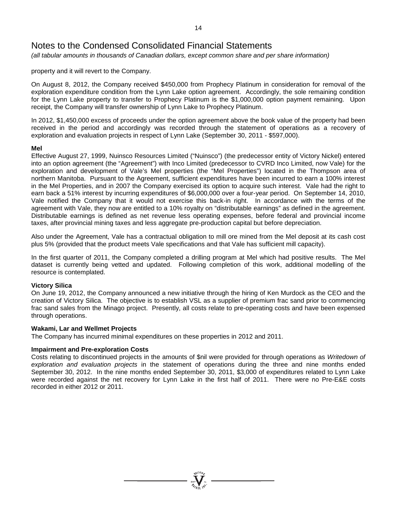*(all tabular amounts in thousands of Canadian dollars, except common share and per share information)*

property and it will revert to the Company.

On August 8, 2012, the Company received \$450,000 from Prophecy Platinum in consideration for removal of the exploration expenditure condition from the Lynn Lake option agreement. Accordingly, the sole remaining condition for the Lynn Lake property to transfer to Prophecy Platinum is the \$1,000,000 option payment remaining. Upon receipt, the Company will transfer ownership of Lynn Lake to Prophecy Platinum.

In 2012, \$1,450,000 excess of proceeds under the option agreement above the book value of the property had been received in the period and accordingly was recorded through the statement of operations as a recovery of exploration and evaluation projects in respect of Lynn Lake (September 30, 2011 - \$597,000).

### **Mel**

Effective August 27, 1999, Nuinsco Resources Limited ("Nuinsco") (the predecessor entity of Victory Nickel) entered into an option agreement (the "Agreement") with Inco Limited (predecessor to CVRD Inco Limited, now Vale) for the exploration and development of Vale's Mel properties (the "Mel Properties") located in the Thompson area of northern Manitoba. Pursuant to the Agreement, sufficient expenditures have been incurred to earn a 100% interest in the Mel Properties, and in 2007 the Company exercised its option to acquire such interest. Vale had the right to earn back a 51% interest by incurring expenditures of \$6,000,000 over a four-year period. On September 14, 2010, Vale notified the Company that it would not exercise this back-in right. In accordance with the terms of the agreement with Vale, they now are entitled to a 10% royalty on "distributable earnings" as defined in the agreement. Distributable earnings is defined as net revenue less operating expenses, before federal and provincial income taxes, after provincial mining taxes and less aggregate pre-production capital but before depreciation.

Also under the Agreement, Vale has a contractual obligation to mill ore mined from the Mel deposit at its cash cost plus 5% (provided that the product meets Vale specifications and that Vale has sufficient mill capacity).

In the first quarter of 2011, the Company completed a drilling program at Mel which had positive results. The Mel dataset is currently being vetted and updated. Following completion of this work, additional modelling of the resource is contemplated.

### **Victory Silica**

On June 19, 2012, the Company announced a new initiative through the hiring of Ken Murdock as the CEO and the creation of Victory Silica. The objective is to establish VSL as a supplier of premium frac sand prior to commencing frac sand sales from the Minago project. Presently, all costs relate to pre-operating costs and have been expensed through operations.

### **Wakami, Lar and Wellmet Projects**

The Company has incurred minimal expenditures on these properties in 2012 and 2011.

### **Impairment and Pre-exploration Costs**

Costs relating to discontinued projects in the amounts of \$nil were provided for through operations as *Writedown of exploration and evaluation projects* in the statement of operations during the three and nine months ended September 30, 2012. In the nine months ended September 30, 2011, \$3,000 of expenditures related to Lynn Lake were recorded against the net recovery for Lynn Lake in the first half of 2011. There were no Pre-E&E costs recorded in either 2012 or 2011.

14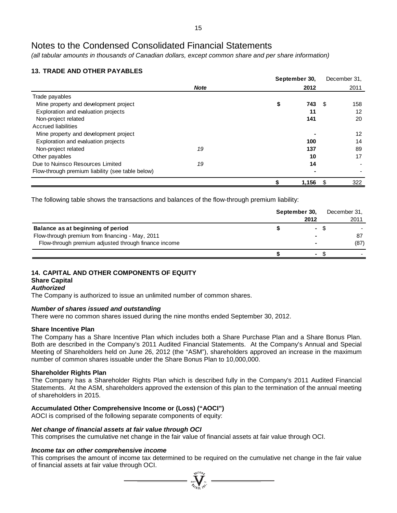*(all tabular amounts in thousands of Canadian dollars, except common share and per share information)*

# **13. TRADE AND OTHER PAYABLES**

|                                                  |             | September 30, | December 31. |
|--------------------------------------------------|-------------|---------------|--------------|
|                                                  | <b>Note</b> | 2012          | 2011         |
| Trade payables                                   |             |               |              |
| Mine property and development project            |             | 743<br>\$     | 158<br>- \$  |
| Exploration and evaluation projects              |             | 11            | 12           |
| Non-project related                              |             | 141           | 20           |
| <b>Accrued liabilities</b>                       |             |               |              |
| Mine property and development project            |             |               | 12           |
| Exploration and evaluation projects              |             | 100           | 14           |
| Non-project related                              | 19          | 137           | 89           |
| Other payables                                   |             | 10            | 17           |
| Due to Nuinsco Resources Limited                 | 19          | 14            |              |
| Flow-through premium liability (see table below) |             |               |              |
|                                                  |             | 1,156         | \$<br>322    |

The following table shows the transactions and balances of the flow-through premium liability:

|                                                      | September 30, |      | December 31, |
|------------------------------------------------------|---------------|------|--------------|
|                                                      |               | 2012 | 2011         |
| Balance as at beginning of period                    |               |      |              |
| Flow-through premium from financing - May, 2011      |               |      | 87           |
| Flow-through premium adjusted through finance income |               |      | (87)         |
|                                                      |               | ۰    |              |

# **14. CAPITAL AND OTHER COMPONENTS OF EQUITY**

#### **Share Capital** *Authorized*

The Company is authorized to issue an unlimited number of common shares.

# *Number of shares issued and outstanding*

There were no common shares issued during the nine months ended September 30, 2012.

# **Share Incentive Plan**

The Company has a Share Incentive Plan which includes both a Share Purchase Plan and a Share Bonus Plan. Both are described in the Company's 2011 Audited Financial Statements. At the Company's Annual and Special Meeting of Shareholders held on June 26, 2012 (the "ASM"), shareholders approved an increase in the maximum number of common shares issuable under the Share Bonus Plan to 10,000,000.

# **Shareholder Rights Plan**

The Company has a Shareholder Rights Plan which is described fully in the Company's 2011 Audited Financial Statements. At the ASM, shareholders approved the extension of this plan to the termination of the annual meeting of shareholders in 2015.

# **Accumulated Other Comprehensive Income or (Loss) ("AOCI")**

AOCI is comprised of the following separate components of equity:

# *Net change of financial assets at fair value through OCI*

This comprises the cumulative net change in the fair value of financial assets at fair value through OCI.

### *Income tax on other comprehensive income*

This comprises the amount of income tax determined to be required on the cumulative net change in the fair value of financial assets at fair value through OCI.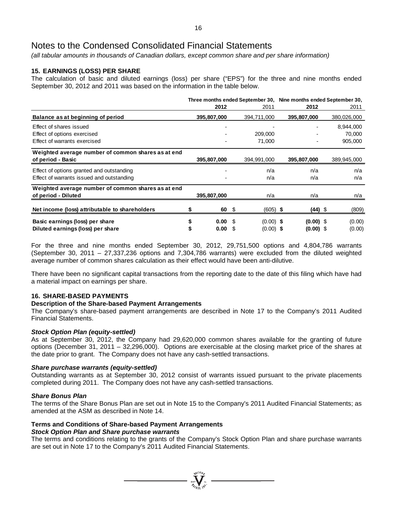*(all tabular amounts in thousands of Canadian dollars, except common share and per share information)*

# **15. EARNINGS (LOSS) PER SHARE**

The calculation of basic and diluted earnings (loss) per share ("EPS") for the three and nine months ended September 30, 2012 and 2011 was based on the information in the table below.

|                                                    |  |             |     |             | Three months ended September 30, Nine months ended September 30, |             |  |             |
|----------------------------------------------------|--|-------------|-----|-------------|------------------------------------------------------------------|-------------|--|-------------|
|                                                    |  | 2012        |     | 2011        |                                                                  | 2012        |  | 2011        |
| Balance as at beginning of period                  |  | 395,807,000 |     | 394,711,000 |                                                                  | 395,807,000 |  | 380,026,000 |
| Effect of shares issued                            |  |             |     |             |                                                                  |             |  | 8,944,000   |
| Effect of options exercised                        |  |             |     | 209,000     |                                                                  |             |  | 70,000      |
| Effect of warrants exercised                       |  |             |     | 71,000      |                                                                  |             |  | 905,000     |
| Weighted average number of common shares as at end |  |             |     |             |                                                                  |             |  |             |
| of period - Basic                                  |  | 395,807,000 |     | 394,991,000 |                                                                  | 395,807,000 |  | 389,945,000 |
| Effect of options granted and outstanding          |  |             |     | n/a         |                                                                  | n/a         |  | n/a         |
| Effect of warrants issued and outstanding          |  |             |     | n/a         |                                                                  | n/a         |  | n/a         |
| Weighted average number of common shares as at end |  |             |     |             |                                                                  |             |  |             |
| of period - Diluted                                |  | 395,807,000 |     | n/a         |                                                                  | n/a         |  | n/a         |
| Net income (loss) attributable to shareholders     |  | 60          | \$  | $(605)$ \$  |                                                                  | (44) \$     |  | (809)       |
|                                                    |  |             |     |             |                                                                  |             |  |             |
| Basic earnings (loss) per share                    |  | 0.00        | \$. | $(0.00)$ \$ |                                                                  | $(0.00)$ \$ |  | (0.00)      |
| Diluted earnings (loss) per share                  |  | 0.00        | S   | $(0.00)$ \$ |                                                                  | $(0.00)$ \$ |  | (0.00)      |

For the three and nine months ended September 30, 2012, 29,751,500 options and 4,804,786 warrants (September 30, 2011 – 27,337,236 options and 7,304,786 warrants) were excluded from the diluted weighted average number of common shares calculation as their effect would have been anti-dilutive.

There have been no significant capital transactions from the reporting date to the date of this filing which have had a material impact on earnings per share.

### **16. SHARE-BASED PAYMENTS**

### **Description of the Share-based Payment Arrangements**

The Company's share-based payment arrangements are described in Note 17 to the Company's 2011 Audited Financial Statements.

### *Stock Option Plan (equity-settled)*

As at September 30, 2012, the Company had 29,620,000 common shares available for the granting of future options (December 31, 2011 – 32,296,000). Options are exercisable at the closing market price of the shares at the date prior to grant. The Company does not have any cash-settled transactions.

### *Share purchase warrants (equity-settled)*

Outstanding warrants as at September 30, 2012 consist of warrants issued pursuant to the private placements completed during 2011. The Company does not have any cash-settled transactions.

### *Share Bonus Plan*

The terms of the Share Bonus Plan are set out in Note 15 to the Company's 2011 Audited Financial Statements; as amended at the ASM as described in Note 14.

#### **Terms and Conditions of Share-based Payment Arrangements** *Stock Option Plan and Share purchase warrants*

The terms and conditions relating to the grants of the Company's Stock Option Plan and share purchase warrants are set out in Note 17 to the Company's 2011 Audited Financial Statements.

**Wellon**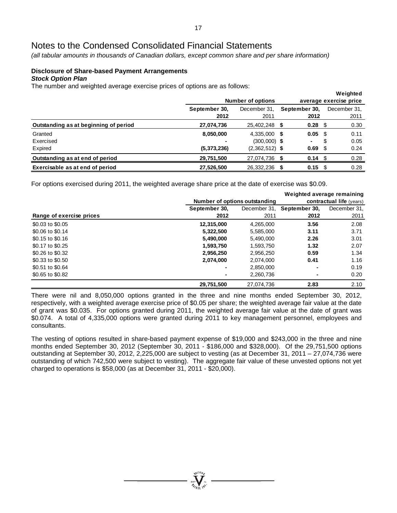*(all tabular amounts in thousands of Canadian dollars, except common share and per share information)*

### **Disclosure of Share-based Payment Arrangements** *Stock Option Plan*

The number and weighted average exercise prices of options are as follows:

|                                       |               |                          |               |                   | weighted               |
|---------------------------------------|---------------|--------------------------|---------------|-------------------|------------------------|
|                                       |               | <b>Number of options</b> |               |                   | average exercise price |
|                                       | September 30, | December 31.             | September 30, |                   | December 31.           |
|                                       | 2012          | 2011                     | 2012          |                   | 2011                   |
| Outstanding as at beginning of period | 27,074,736    | 25,402,248 \$            |               | $0.28$ \$         | 0.30                   |
| Granted                               | 8,050,000     | $4.335.000$ \$           | 0.05          | - \$              | 0.11                   |
| Exercised                             |               | $(300,000)$ \$           | ٠             | S                 | 0.05                   |
| Expired                               | (5,373,236)   | $(2,362,512)$ \$         | 0.69          | - \$              | 0.24                   |
| Outstanding as at end of period       | 29,751,500    | 27,074,736 \$            |               | $0.14 \text{ } $$ | 0.28                   |
| Exercisable as at end of period       | 27,526,500    | 26,332,236               | 0.15<br>S.    | - \$              | 0.28                   |

**Weighted**

For options exercised during 2011, the weighted average share price at the date of exercise was \$0.09.

|                          |                               |              | Weighted average remaining |                                 |  |  |  |
|--------------------------|-------------------------------|--------------|----------------------------|---------------------------------|--|--|--|
|                          | Number of options outstanding |              |                            | <b>contractual life</b> (years) |  |  |  |
|                          | September 30,                 | December 31, | September 30,              | December 31,                    |  |  |  |
| Range of exercise prices | 2012                          | 2011         | 2012                       | 2011                            |  |  |  |
| \$0.03 to \$0.05         | 12,315,000                    | 4,265,000    | 3.56                       | 2.08                            |  |  |  |
| \$0.06 to \$0.14         | 5,322,500                     | 5,585,000    | 3.11                       | 3.71                            |  |  |  |
| \$0.15 to \$0.16         | 5.490.000                     | 5.490.000    | 2.26                       | 3.01                            |  |  |  |
| \$0.17 to \$0.25         | 1,593,750                     | 1,593,750    | 1.32                       | 2.07                            |  |  |  |
| \$0.26 to \$0.32         | 2,956,250                     | 2,956,250    | 0.59                       | 1.34                            |  |  |  |
| \$0.33 to \$0.50         | 2,074,000                     | 2,074,000    | 0.41                       | 1.16                            |  |  |  |
| \$0.51 to \$0.64         |                               | 2,850,000    | ٠                          | 0.19                            |  |  |  |
| \$0.65 to \$0.82         |                               | 2,260,736    | ٠                          | 0.20                            |  |  |  |
|                          | 29,751,500                    | 27.074.736   | 2.83                       | 2.10                            |  |  |  |

There were nil and 8,050,000 options granted in the three and nine months ended September 30, 2012, respectively, with a weighted average exercise price of \$0.05 per share; the weighted average fair value at the date of grant was \$0.035. For options granted during 2011, the weighted average fair value at the date of grant was \$0.074. A total of 4,335,000 options were granted during 2011 to key management personnel, employees and consultants.

The vesting of options resulted in share-based payment expense of \$19,000 and \$243,000 in the three and nine months ended September 30, 2012 (September 30, 2011 - \$186,000 and \$328,000). Of the 29,751,500 options outstanding at September 30, 2012, 2,225,000 are subject to vesting (as at December 31, 2011 – 27,074,736 were outstanding of which 742,500 were subject to vesting). The aggregate fair value of these unvested options not yet charged to operations is \$58,000 (as at December 31, 2011 - \$20,000).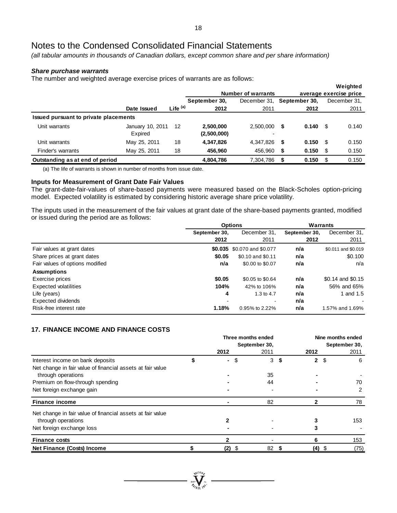*(all tabular amounts in thousands of Canadian dollars, except common share and per share information)*

### *Share purchase warrants*

The number and weighted average exercise prices of warrants are as follows:

|                                       |                  |                     |               |                           |    |               |      | Weighted               |
|---------------------------------------|------------------|---------------------|---------------|---------------------------|----|---------------|------|------------------------|
|                                       |                  |                     |               | <b>Number of warrants</b> |    |               |      | average exercise price |
|                                       |                  |                     | September 30, | December 31.              |    | September 30, |      | December 31,           |
|                                       | Date Issued      | Life <sup>(a)</sup> | 2012          | 2011                      |    | 2012          |      | 2011                   |
| Issued pursuant to private placements |                  |                     |               |                           |    |               |      |                        |
| Unit warrants                         | January 10, 2011 | 12                  | 2,500,000     | 2.500.000                 | \$ | 0.140         | - \$ | 0.140                  |
|                                       | Expired          |                     | (2,500,000)   |                           |    |               |      |                        |
| Unit warrants                         | May 25, 2011     | 18                  | 4,347,826     | 4.347.826                 | \$ | 0.150         | - \$ | 0.150                  |
| Finder's warrants                     | May 25, 2011     | 18                  | 456,960       | 456,960                   | \$ | 0.150         | \$   | 0.150                  |
| Outstanding as at end of period       |                  |                     | 4,804,786     | 7,304,786                 | S  | 0.150         | S    | 0.150                  |

(a) The life of warrants is shown in number of months from issue date.

### **Inputs for Measurement of Grant Date Fair Values**

The grant-date-fair-values of share-based payments were measured based on the Black-Scholes option-pricing model. Expected volatility is estimated by considering historic average share price volatility.

The inputs used in the measurement of the fair values at grant date of the share-based payments granted, modified or issued during the period are as follows:

|                                 |               | <b>Options</b>              | Warrants      |                     |
|---------------------------------|---------------|-----------------------------|---------------|---------------------|
|                                 | September 30, | December 31.                | September 30, | December 31,        |
|                                 | 2012          | 2011                        | 2012          | 2011                |
| Fair values at grant dates      |               | \$0.035 \$0.070 and \$0.077 | n/a           | \$0.011 and \$0.019 |
| Share prices at grant dates     | \$0.05        | \$0.10 and \$0.11           | n/a           | \$0.100             |
| Fair values of options modified | n/a           | \$0.00 to \$0.07            | n/a           | n/a                 |
| <b>Assumptions</b>              |               |                             |               |                     |
| Exercise prices                 | \$0.05        | \$0.05 to \$0.64            | n/a           | \$0.14 and \$0.15   |
| <b>Expected volatilities</b>    | 104%          | 42% to 106%                 | n/a           | 56% and 65%         |
| Life (years)                    | 4             | 1.3 to $4.7$                | n/a           | and 1.5             |
| Expected dividends              |               | $\overline{\phantom{a}}$    | n/a           |                     |
| Risk-free interest rate         | 1.18%         | 0.95% to 2.22%              | n/a           | 1.57% and 1.69%     |

# **17. FINANCE INCOME AND FINANCE COSTS**

|                                                            | Three months ended |               | Nine months ended   |               |  |
|------------------------------------------------------------|--------------------|---------------|---------------------|---------------|--|
|                                                            |                    | September 30, |                     | September 30, |  |
|                                                            | 2012               | 2011          | 2012                | 2011          |  |
| Interest income on bank deposits                           | \$<br>$\sim$       | 3<br>\$       | -\$<br>$\mathbf{2}$ | 6             |  |
| Net change in fair value of financial assets at fair value |                    |               |                     |               |  |
| through operations                                         |                    | 35            |                     |               |  |
| Premium on flow-through spending                           |                    | 44            |                     | 70            |  |
| Net foreign exchange gain                                  |                    |               |                     | 2             |  |
| <b>Finance income</b>                                      |                    | 82            | $\mathfrak{p}$      | 78            |  |
| Net change in fair value of financial assets at fair value |                    |               |                     |               |  |
| through operations                                         | 2                  |               |                     | 153           |  |
| Net foreign exchange loss                                  |                    |               |                     |               |  |
| <b>Finance costs</b>                                       |                    |               | 6                   | 153           |  |
| Net Finance (Costs) Income                                 | (2)<br>\$          | 82            | $(4)$ \$            | (75)          |  |

**WEIGHT**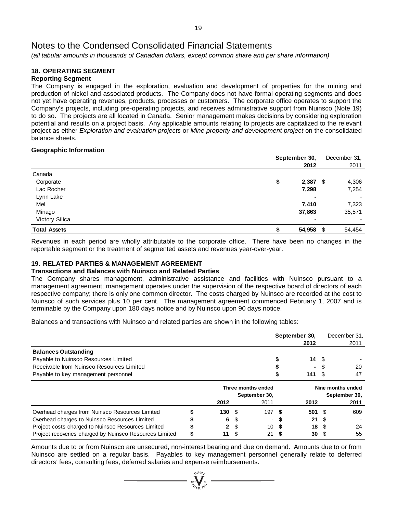*(all tabular amounts in thousands of Canadian dollars, except common share and per share information)*

#### **18. OPERATING SEGMENT Reporting Segment**

The Company is engaged in the exploration, evaluation and development of properties for the mining and production of nickel and associated products. The Company does not have formal operating segments and does not yet have operating revenues, products, processes or customers. The corporate office operates to support the Company's projects, including pre-operating projects, and receives administrative support from Nuinsco (Note 19) to do so. The projects are all located in Canada. Senior management makes decisions by considering exploration potential and results on a project basis. Any applicable amounts relating to projects are capitalized to the relevant project as either *Exploration and evaluation projects* or *Mine property and development project* on the consolidated balance sheets.

## **Geographic Information**

|                     | September 30, |     | December 31, |
|---------------------|---------------|-----|--------------|
|                     | 2012          |     | 2011         |
| Canada              |               |     |              |
| Corporate           | 2,387<br>\$   | S.  | 4,306        |
| Lac Rocher          | 7,298         |     | 7,254        |
| Lynn Lake           |               | ٠   |              |
| Mel                 | 7,410         |     | 7,323        |
| Minago              | 37,863        |     | 35,571       |
| Victory Silica      |               | ۰   |              |
| <b>Total Assets</b> | 54,958        | \$. | 54,454       |

Revenues in each period are wholly attributable to the corporate office. There have been no changes in the reportable segment or the treatment of segmented assets and revenues year-over-year.

# **19. RELATED PARTIES & MANAGEMENT AGREEMENT**

# **Transactions and Balances with Nuinsco and Related Parties**

The Company shares management, administrative assistance and facilities with Nuinsco pursuant to a management agreement; management operates under the supervision of the respective board of directors of each respective company; there is only one common director. The costs charged by Nuinsco are recorded at the cost to Nuinsco of such services plus 10 per cent. The management agreement commenced February 1, 2007 and is terminable by the Company upon 180 days notice and by Nuinsco upon 90 days notice.

Balances and transactions with Nuinsco and related parties are shown in the following tables:

|                                                         |   |              | September 30,<br>2012 |                    |     |      | December 31,<br>2011 |                   |
|---------------------------------------------------------|---|--------------|-----------------------|--------------------|-----|------|----------------------|-------------------|
| <b>Balances Outstanding</b>                             |   |              |                       |                    |     |      |                      |                   |
| Payable to Nuinsco Resources Limited                    |   |              |                       |                    |     | 14   | - \$                 |                   |
| Receivable from Nuinsco Resources Limited               |   |              |                       |                    |     | ۰.   |                      | 20                |
| Payable to key management personnel                     |   |              |                       |                    |     | 141  | \$.                  | 47                |
|                                                         |   |              |                       | Three months ended |     |      |                      | Nine months ended |
|                                                         |   |              |                       | September 30,      |     |      |                      | September 30,     |
|                                                         |   | 2012         |                       | 2011               |     | 2012 |                      | 2011              |
| Overhead charges from Nuinsco Resources Limited         |   | 130S         |                       | 197S               |     | 501  | - \$                 | 609               |
| Overhead charges to Nuinsco Resources Limited           |   | 6            |                       |                    |     | 21   | -S                   |                   |
| Project costs charged to Nuinsco Resources Limited      |   | $\mathbf{2}$ | \$.                   | 10                 |     | 18   | - \$                 | 24                |
| Project recoveries charged by Nuinsco Resources Limited | S | 11           | - \$                  | 21                 | - S | 30   | - \$                 | 55                |

Amounts due to or from Nuinsco are unsecured, non-interest bearing and due on demand. Amounts due to or from Nuinsco are settled on a regular basis. Payables to key management personnel generally relate to deferred directors' fees, consulting fees, deferred salaries and expense reimbursements.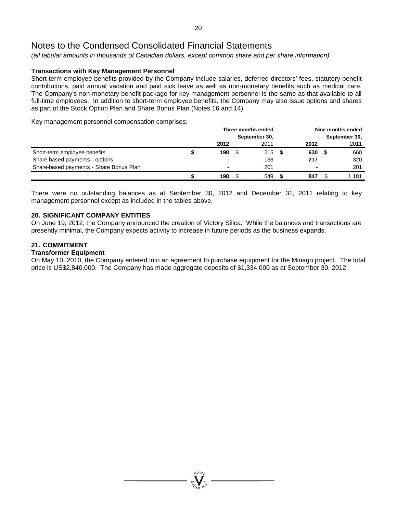*(all tabular amounts in thousands of Canadian dollars, except common share and per share information)*

## **Transactions with Key Management Personnel**

Short-term employee benefits provided by the Company include salaries, deferred directors' fees, statutory benefit contributions, paid annual vacation and paid sick leave as well as non-monetary benefits such as medical care. The Company's non-monetary benefit package for key management personnel is the same as that available to all full-time employees. In addition to short-term employee benefits, the Company may also issue options and shares as part of the Stock Option Plan and Share Bonus Plan (Notes 16 and 14).

Key management personnel compensation comprises:

|                                         |  | Three months ended<br>September 30, |  |      |  | Nine months ended |      |       |  |
|-----------------------------------------|--|-------------------------------------|--|------|--|-------------------|------|-------|--|
|                                         |  |                                     |  |      |  | September 30,     |      |       |  |
|                                         |  | 2012                                |  | 2011 |  | 2012              |      | 2011  |  |
| Short-term employee benefits            |  | 198                                 |  | 215S |  | 630               | - \$ | 660   |  |
| Share-based payments - options          |  |                                     |  | 133  |  | 217               |      | 320   |  |
| Share-based payments - Share Bonus Plan |  |                                     |  | 201  |  | $\blacksquare$    |      | 201   |  |
|                                         |  | 198                                 |  | 549  |  | 847               |      | 1.181 |  |

There were no outstanding balances as at September 30, 2012 and December 31, 2011 relating to key management personnel except as included in the tables above.

### **20. SIGNIFICANT COMPANY ENTITIES**

On June 19, 2012, the Company announced the creation of Victory Silica. While the balances and transactions are presently minimal, the Company expects activity to increase in future periods as the business expands.

### **21. COMMITMENT**

### **Transformer Equipment**

On May 10, 2010, the Company entered into an agreement to purchase equipment for the Minago project. The total price is US\$2,840,000. The Company has made aggregate deposits of \$1,334,000 as at September 30, 2012.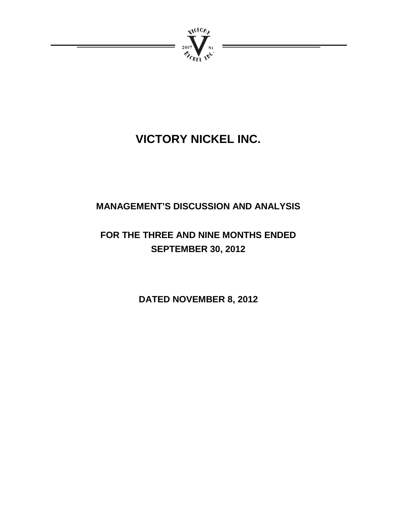

# **VICTORY NICKEL INC.**

# **MANAGEMENT'S DISCUSSION AND ANALYSIS**

# **FOR THE THREE AND NINE MONTHS ENDED SEPTEMBER 30, 2012**

**DATED NOVEMBER 8, 2012**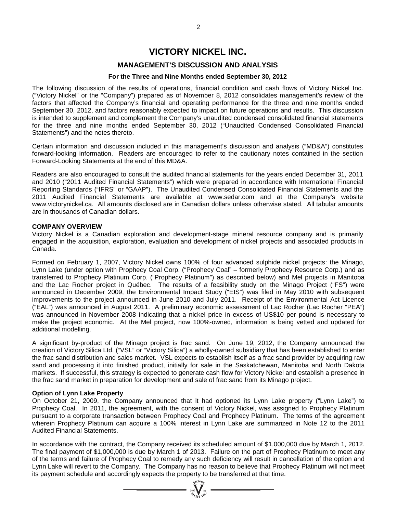# **VICTORY NICKEL INC.**

# **MANAGEMENT'S DISCUSSION AND ANALYSIS**

### **For the Three and Nine Months ended September 30, 2012**

The following discussion of the results of operations, financial condition and cash flows of Victory Nickel Inc. ("Victory Nickel" or the "Company") prepared as of November 8, 2012 consolidates management's review of the factors that affected the Company's financial and operating performance for the three and nine months ended September 30, 2012, and factors reasonably expected to impact on future operations and results. This discussion is intended to supplement and complement the Company's unaudited condensed consolidated financial statements for the three and nine months ended September 30, 2012 ("Unaudited Condensed Consolidated Financial Statements") and the notes thereto.

Certain information and discussion included in this management's discussion and analysis ("MD&A") constitutes forward-looking information. Readers are encouraged to refer to the cautionary notes contained in the section Forward-Looking Statements at the end of this MD&A.

Readers are also encouraged to consult the audited financial statements for the years ended December 31, 2011 and 2010 ("2011 Audited Financial Statements") which were prepared in accordance with International Financial Reporting Standards ("IFRS" or "GAAP"). The Unaudited Condensed Consolidated Financial Statements and the 2011 Audited Financial Statements are available at www.sedar.com and at the Company's website www.victorynickel.ca. All amounts disclosed are in Canadian dollars unless otherwise stated. All tabular amounts are in thousands of Canadian dollars.

### **COMPANY OVERVIEW**

Victory Nickel is a Canadian exploration and development-stage mineral resource company and is primarily engaged in the acquisition, exploration, evaluation and development of nickel projects and associated products in Canada.

Formed on February 1, 2007, Victory Nickel owns 100% of four advanced sulphide nickel projects: the Minago, Lynn Lake (under option with Prophecy Coal Corp. ("Prophecy Coal" – formerly Prophecy Resource Corp.) and as transferred to Prophecy Platinum Corp. ("Prophecy Platinum") as described below) and Mel projects in Manitoba and the Lac Rocher project in Québec. The results of a feasibility study on the Minago Project ("FS") were announced in December 2009, the Environmental Impact Study ("EIS") was filed in May 2010 with subsequent improvements to the project announced in June 2010 and July 2011. Receipt of the Environmental Act Licence ("EAL") was announced in August 2011. A preliminary economic assessment of Lac Rocher (Lac Rocher "PEA") was announced in November 2008 indicating that a nickel price in excess of US\$10 per pound is necessary to make the project economic. At the Mel project, now 100%-owned, information is being vetted and updated for additional modelling.

A significant by-product of the Minago project is frac sand. On June 19, 2012, the Company announced the creation of Victory Silica Ltd. ("VSL" or "Victory Silica") a wholly-owned subsidiary that has been established to enter the frac sand distribution and sales market. VSL expects to establish itself as a frac sand provider by acquiring raw sand and processing it into finished product, initially for sale in the Saskatchewan, Manitoba and North Dakota markets. If successful, this strategy is expected to generate cash flow for Victory Nickel and establish a presence in the frac sand market in preparation for development and sale of frac sand from its Minago project.

### **Option of Lynn Lake Property**

On October 21, 2009, the Company announced that it had optioned its Lynn Lake property ("Lynn Lake") to Prophecy Coal. In 2011, the agreement, with the consent of Victory Nickel, was assigned to Prophecy Platinum pursuant to a corporate transaction between Prophecy Coal and Prophecy Platinum. The terms of the agreement wherein Prophecy Platinum can acquire a 100% interest in Lynn Lake are summarized in Note 12 to the 2011 Audited Financial Statements.

In accordance with the contract, the Company received its scheduled amount of \$1,000,000 due by March 1, 2012. The final payment of \$1,000,000 is due by March 1 of 2013. Failure on the part of Prophecy Platinum to meet any of the terms and failure of Prophecy Coal to remedy any such deficiency will result in cancellation of the option and Lynn Lake will revert to the Company. The Company has no reason to believe that Prophecy Platinum will not meet its payment schedule and accordingly expects the property to be transferred at that time.<br>  $\frac{1}{\sqrt[n]{\sum_{i=1}^{N} x_i}}$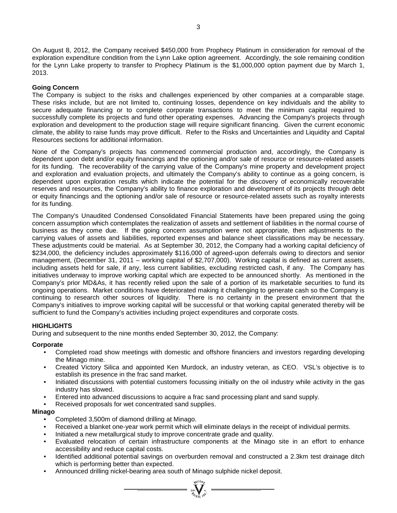On August 8, 2012, the Company received \$450,000 from Prophecy Platinum in consideration for removal of the exploration expenditure condition from the Lynn Lake option agreement. Accordingly, the sole remaining condition for the Lynn Lake property to transfer to Prophecy Platinum is the \$1,000,000 option payment due by March 1, 2013.

# **Going Concern**

The Company is subject to the risks and challenges experienced by other companies at a comparable stage. These risks include, but are not limited to, continuing losses, dependence on key individuals and the ability to secure adequate financing or to complete corporate transactions to meet the minimum capital required to successfully complete its projects and fund other operating expenses. Advancing the Company's projects through exploration and development to the production stage will require significant financing. Given the current economic climate, the ability to raise funds may prove difficult. Refer to the Risks and Uncertainties and Liquidity and Capital Resources sections for additional information.

None of the Company's projects has commenced commercial production and, accordingly, the Company is dependent upon debt and/or equity financings and the optioning and/or sale of resource or resource-related assets for its funding. The recoverability of the carrying value of the Company's mine property and development project and exploration and evaluation projects, and ultimately the Company's ability to continue as a going concern, is dependent upon exploration results which indicate the potential for the discovery of economically recoverable reserves and resources, the Company's ability to finance exploration and development of its projects through debt or equity financings and the optioning and/or sale of resource or resource-related assets such as royalty interests for its funding.

The Company's Unaudited Condensed Consolidated Financial Statements have been prepared using the going concern assumption which contemplates the realization of assets and settlement of liabilities in the normal course of business as they come due. If the going concern assumption were not appropriate, then adjustments to the carrying values of assets and liabilities, reported expenses and balance sheet classifications may be necessary. These adjustments could be material. As at September 30, 2012, the Company had a working capital deficiency of \$234,000, the deficiency includes approximately \$116,000 of agreed-upon deferrals owing to directors and senior management, (December 31, 2011 – working capital of \$2,707,000). Working capital is defined as current assets, including assets held for sale, if any, less current liabilities, excluding restricted cash, if any. The Company has initiatives underway to improve working capital which are expected to be announced shortly. As mentioned in the Company's prior MD&As, it has recently relied upon the sale of a portion of its marketable securities to fund its ongoing operations. Market conditions have deteriorated making it challenging to generate cash so the Company is continuing to research other sources of liquidity. There is no certainty in the present environment that the Company's initiatives to improve working capital will be successful or that working capital generated thereby will be sufficient to fund the Company's activities including project expenditures and corporate costs.

# **HIGHLIGHTS**

During and subsequent to the nine months ended September 30, 2012, the Company:

### **Corporate**

- Completed road show meetings with domestic and offshore financiers and investors regarding developing the Minago mine.
- Created Victory Silica and appointed Ken Murdock, an industry veteran, as CEO. VSL's objective is to establish its presence in the frac sand market.
- Initiated discussions with potential customers focussing initially on the oil industry while activity in the gas industry has slowed.
- Entered into advanced discussions to acquire a frac sand processing plant and sand supply.
- Received proposals for wet concentrated sand supplies.

### **Minago**

- Completed 3,500m of diamond drilling at Minago.
- Received a blanket one-year work permit which will eliminate delays in the receipt of individual permits.
- Initiated a new metallurgical study to improve concentrate grade and quality.
- Evaluated relocation of certain infrastructure components at the Minago site in an effort to enhance accessibility and reduce capital costs.
- Identified additional potential savings on overburden removal and constructed a 2.3km test drainage ditch which is performing better than expected.

 $= \sum_{x_0}^{\infty} \sum_{y_0}^{\infty} x_0$ 

• Announced drilling nickel-bearing area south of Minago sulphide nickel deposit.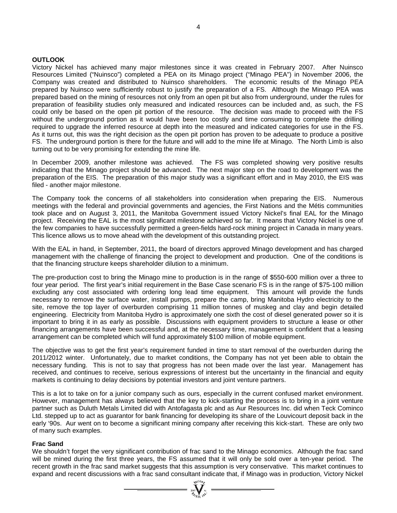### **OUTLOOK**

Victory Nickel has achieved many major milestones since it was created in February 2007. After Nuinsco Resources Limited ("Nuinsco") completed a PEA on its Minago project ("Minago PEA") in November 2006, the Company was created and distributed to Nuinsco shareholders. The economic results of the Minago PEA prepared by Nuinsco were sufficiently robust to justify the preparation of a FS. Although the Minago PEA was prepared based on the mining of resources not only from an open pit but also from underground, under the rules for preparation of feasibility studies only measured and indicated resources can be included and, as such, the FS could only be based on the open pit portion of the resource. The decision was made to proceed with the FS without the underground portion as it would have been too costly and time consuming to complete the drilling required to upgrade the inferred resource at depth into the measured and indicated categories for use in the FS. As it turns out, this was the right decision as the open pit portion has proven to be adequate to produce a positive FS. The underground portion is there for the future and will add to the mine life at Minago. The North Limb is also turning out to be very promising for extending the mine life.

In December 2009, another milestone was achieved. The FS was completed showing very positive results indicating that the Minago project should be advanced. The next major step on the road to development was the preparation of the EIS. The preparation of this major study was a significant effort and in May 2010, the EIS was filed - another major milestone.

The Company took the concerns of all stakeholders into consideration when preparing the EIS. Numerous meetings with the federal and provincial governments and agencies, the First Nations and the Métis communities took place and on August 3, 2011, the Manitoba Government issued Victory Nickel's final EAL for the Minago project. Receiving the EAL is the most significant milestone achieved so far. It means that Victory Nickel is one of the few companies to have successfully permitted a green-fields hard-rock mining project in Canada in many years. This licence allows us to move ahead with the development of this outstanding project.

With the EAL in hand, in September, 2011, the board of directors approved Minago development and has charged management with the challenge of financing the project to development and production. One of the conditions is that the financing structure keeps shareholder dilution to a minimum.

The pre-production cost to bring the Minago mine to production is in the range of \$550-600 million over a three to four year period. The first year's initial requirement in the Base Case scenario FS is in the range of \$75-100 million excluding any cost associated with ordering long lead time equipment. This amount will provide the funds necessary to remove the surface water, install pumps, prepare the camp, bring Manitoba Hydro electricity to the site, remove the top layer of overburden comprising 11 million tonnes of muskeg and clay and begin detailed engineering. Electricity from Manitoba Hydro is approximately one sixth the cost of diesel generated power so it is important to bring it in as early as possible. Discussions with equipment providers to structure a lease or other financing arrangements have been successful and, at the necessary time, management is confident that a leasing arrangement can be completed which will fund approximately \$100 million of mobile equipment.

The objective was to get the first year's requirement funded in time to start removal of the overburden during the 2011/2012 winter. Unfortunately, due to market conditions, the Company has not yet been able to obtain the necessary funding. This is not to say that progress has not been made over the last year. Management has received, and continues to receive, serious expressions of interest but the uncertainty in the financial and equity markets is continuing to delay decisions by potential investors and joint venture partners.

This is a lot to take on for a junior company such as ours, especially in the current confused market environment. However, management has always believed that the key to kick-starting the process is to bring in a joint venture partner such as Duluth Metals Limited did with Antofagasta plc and as Aur Resources Inc. did when Teck Cominco Ltd. stepped up to act as guarantor for bank financing for developing its share of the Louvicourt deposit back in the early '90s. Aur went on to become a significant mining company after receiving this kick-start. These are only two of many such examples.

#### **Frac Sand**

We shouldn't forget the very significant contribution of frac sand to the Minago economics. Although the frac sand will be mined during the first three years, the FS assumed that it will only be sold over a ten-year period. The recent growth in the frac sand market suggests that this assumption is very conservative. This market continues to expand and recent discussions with a frac sand consultant indicate that, if Minago was in production, Victory Nickel<br>  $\frac{W^{(10)}_{\text{N}}}{W^{(20)}_{\text{N}}}\stackrel{W}{=}$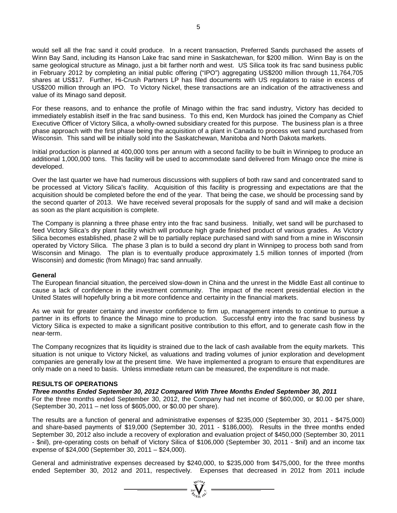would sell all the frac sand it could produce. In a recent transaction, Preferred Sands purchased the assets of Winn Bay Sand, including its Hanson Lake frac sand mine in Saskatchewan, for \$200 million. Winn Bay is on the same geological structure as Minago, just a bit farther north and west. US Silica took its frac sand business public in February 2012 by completing an initial public offering ("IPO") aggregating US\$200 million through 11,764,705 shares at US\$17. Further, Hi-Crush Partners LP has filed documents with US regulators to raise in excess of US\$200 million through an IPO. To Victory Nickel, these transactions are an indication of the attractiveness and value of its Minago sand deposit.

For these reasons, and to enhance the profile of Minago within the frac sand industry, Victory has decided to immediately establish itself in the frac sand business. To this end, Ken Murdock has joined the Company as Chief Executive Officer of Victory Silica, a wholly-owned subsidiary created for this purpose. The business plan is a three phase approach with the first phase being the acquisition of a plant in Canada to process wet sand purchased from Wisconsin. This sand will be initially sold into the Saskatchewan, Manitoba and North Dakota markets.

Initial production is planned at 400,000 tons per annum with a second facility to be built in Winnipeg to produce an additional 1,000,000 tons. This facility will be used to accommodate sand delivered from Minago once the mine is developed.

Over the last quarter we have had numerous discussions with suppliers of both raw sand and concentrated sand to be processed at Victory Silica's facility. Acquisition of this facility is progressing and expectations are that the acquisition should be completed before the end of the year. That being the case, we should be processing sand by the second quarter of 2013. We have received several proposals for the supply of sand and will make a decision as soon as the plant acquisition is complete.

The Company is planning a three phase entry into the frac sand business. Initially, wet sand will be purchased to feed Victory Silica's dry plant facility which will produce high grade finished product of various grades. As Victory Silica becomes established, phase 2 will be to partially replace purchased sand with sand from a mine in Wisconsin operated by Victory Silica. The phase 3 plan is to build a second dry plant in Winnipeg to process both sand from Wisconsin and Minago. The plan is to eventually produce approximately 1.5 million tonnes of imported (from Wisconsin) and domestic (from Minago) frac sand annually.

#### **General**

The European financial situation, the perceived slow-down in China and the unrest in the Middle East all continue to cause a lack of confidence in the investment community. The impact of the recent presidential election in the United States will hopefully bring a bit more confidence and certainty in the financial markets.

As we wait for greater certainty and investor confidence to firm up, management intends to continue to pursue a partner in its efforts to finance the Minago mine to production. Successful entry into the frac sand business by Victory Silica is expected to make a significant positive contribution to this effort, and to generate cash flow in the near-term.

The Company recognizes that its liquidity is strained due to the lack of cash available from the equity markets. This situation is not unique to Victory Nickel, as valuations and trading volumes of junior exploration and development companies are generally low at the present time. We have implemented a program to ensure that expenditures are only made on a need to basis. Unless immediate return can be measured, the expenditure is not made.

#### **RESULTS OF OPERATIONS**

#### *Three months Ended September 30, 2012 Compared With Three Months Ended September 30, 2011*

For the three months ended September 30, 2012, the Company had net income of \$60,000, or \$0.00 per share, (September 30, 2011 – net loss of \$605,000, or \$0.00 per share).

The results are a function of general and administrative expenses of \$235,000 (September 30, 2011 - \$475,000) and share-based payments of \$19,000 (September 30, 2011 - \$186,000). Results in the three months ended September 30, 2012 also include a recovery of exploration and evaluation project of \$450,000 (September 30, 2011 - \$nil), pre-operating costs on behalf of Victory Silica of \$106,000 (September 30, 2011 - \$nil) and an income tax expense of \$24,000 (September 30, 2011 – \$24,000).

General and administrative expenses decreased by \$240,000, to \$235,000 from \$475,000, for the three months ended September 30, 2012 and 2011, respectively. Expenses that decreased in 2012 from 2011 include

 $\sum_{\substack{100\text{ VUCDP}\\ \mathscr{U}_{\text{UCDP}}}}^{\mathcal{U}_{\text{UCDP}}}=$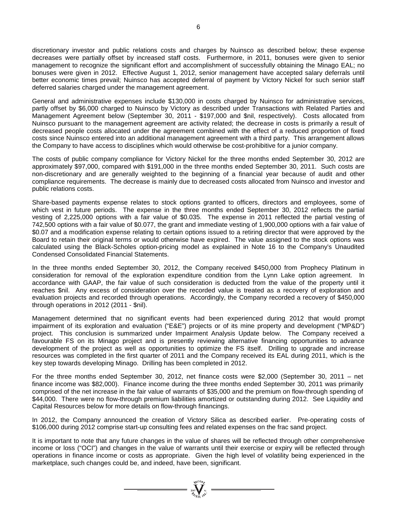discretionary investor and public relations costs and charges by Nuinsco as described below; these expense decreases were partially offset by increased staff costs. Furthermore, in 2011, bonuses were given to senior management to recognize the significant effort and accomplishment of successfully obtaining the Minago EAL; no bonuses were given in 2012. Effective August 1, 2012, senior management have accepted salary deferrals until better economic times prevail; Nuinsco has accepted deferral of payment by Victory Nickel for such senior staff deferred salaries charged under the management agreement.

General and administrative expenses include \$130,000 in costs charged by Nuinsco for administrative services, partly offset by \$6,000 charged to Nuinsco by Victory as described under Transactions with Related Parties and Management Agreement below (September 30, 2011 - \$197,000 and \$nil, respectively). Costs allocated from Nuinsco pursuant to the management agreement are activity related; the decrease in costs is primarily a result of decreased people costs allocated under the agreement combined with the effect of a reduced proportion of fixed costs since Nuinsco entered into an additional management agreement with a third party. This arrangement allows the Company to have access to disciplines which would otherwise be cost-prohibitive for a junior company.

The costs of public company compliance for Victory Nickel for the three months ended September 30, 2012 are approximately \$97,000, compared with \$191,000 in the three months ended September 30, 2011. Such costs are non-discretionary and are generally weighted to the beginning of a financial year because of audit and other compliance requirements. The decrease is mainly due to decreased costs allocated from Nuinsco and investor and public relations costs.

Share-based payments expense relates to stock options granted to officers, directors and employees, some of which vest in future periods. The expense in the three months ended September 30, 2012 reflects the partial vesting of 2,225,000 options with a fair value of \$0.035. The expense in 2011 reflected the partial vesting of 742,500 options with a fair value of \$0.077, the grant and immediate vesting of 1,900,000 options with a fair value of \$0.07 and a modification expense relating to certain options issued to a retiring director that were approved by the Board to retain their original terms or would otherwise have expired. The value assigned to the stock options was calculated using the Black-Scholes option-pricing model as explained in Note 16 to the Company's Unaudited Condensed Consolidated Financial Statements.

In the three months ended September 30, 2012, the Company received \$450,000 from Prophecy Platinum in consideration for removal of the exploration expenditure condition from the Lynn Lake option agreement. In accordance with GAAP, the fair value of such consideration is deducted from the value of the property until it reaches \$nil. Any excess of consideration over the recorded value is treated as a recovery of exploration and evaluation projects and recorded through operations. Accordingly, the Company recorded a recovery of \$450,000 through operations in 2012 (2011 - \$nil).

Management determined that no significant events had been experienced during 2012 that would prompt impairment of its exploration and evaluation ("E&E") projects or of its mine property and development ("MP&D") project. This conclusion is summarized under Impairment Analysis Update below. The Company received a favourable FS on its Minago project and is presently reviewing alternative financing opportunities to advance development of the project as well as opportunities to optimize the FS itself. Drilling to upgrade and increase resources was completed in the first quarter of 2011 and the Company received its EAL during 2011, which is the key step towards developing Minago. Drilling has been completed in 2012.

For the three months ended September 30, 2012, net finance costs were \$2,000 (September 30, 2011 – net finance income was \$82,000). Finance income during the three months ended September 30, 2011 was primarily comprised of the net increase in the fair value of warrants of \$35,000 and the premium on flow-through spending of \$44,000. There were no flow-through premium liabilities amortized or outstanding during 2012. See Liquidity and Capital Resources below for more details on flow-through financings.

In 2012, the Company announced the creation of Victory Silica as described earlier. Pre-operating costs of \$106,000 during 2012 comprise start-up consulting fees and related expenses on the frac sand project.

It is important to note that any future changes in the value of shares will be reflected through other comprehensive income or loss ("OCI") and changes in the value of warrants until their exercise or expiry will be reflected through operations in finance income or costs as appropriate. Given the high level of volatility being experienced in the marketplace, such changes could be, and indeed, have been, significant.

=  $\sum_{n=1}^{\infty} \sum_{n=1}^{\infty} x^{n}$  =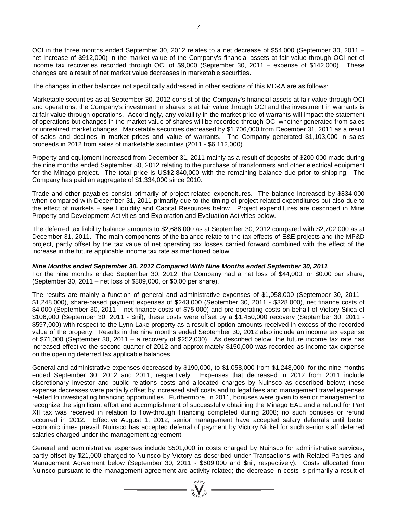OCI in the three months ended September 30, 2012 relates to a net decrease of \$54,000 (September 30, 2011 –

net increase of \$912,000) in the market value of the Company's financial assets at fair value through OCI net of income tax recoveries recorded through OCI of \$9,000 (September 30, 2011 – expense of \$142,000). These changes are a result of net market value decreases in marketable securities.

The changes in other balances not specifically addressed in other sections of this MD&A are as follows:

Marketable securities as at September 30, 2012 consist of the Company's financial assets at fair value through OCI and operations; the Company's investment in shares is at fair value through OCI and the investment in warrants is at fair value through operations. Accordingly, any volatility in the market price of warrants will impact the statement of operations but changes in the market value of shares will be recorded through OCI whether generated from sales or unrealized market changes. Marketable securities decreased by \$1,706,000 from December 31, 2011 as a result of sales and declines in market prices and value of warrants. The Company generated \$1,103,000 in sales proceeds in 2012 from sales of marketable securities (2011 - \$6,112,000).

Property and equipment increased from December 31, 2011 mainly as a result of deposits of \$200,000 made during the nine months ended September 30, 2012 relating to the purchase of transformers and other electrical equipment for the Minago project. The total price is US\$2,840,000 with the remaining balance due prior to shipping. The Company has paid an aggregate of \$1,334,000 since 2010.

Trade and other payables consist primarily of project-related expenditures. The balance increased by \$834,000 when compared with December 31, 2011 primarily due to the timing of project-related expenditures but also due to the effect of markets – see Liquidity and Capital Resources below. Project expenditures are described in Mine Property and Development Activities and Exploration and Evaluation Activities below.

The deferred tax liability balance amounts to \$2,686,000 as at September 30, 2012 compared with \$2,702,000 as at December 31, 2011. The main components of the balance relate to the tax effects of E&E projects and the MP&D project, partly offset by the tax value of net operating tax losses carried forward combined with the effect of the increase in the future applicable income tax rate as mentioned below.

*Nine Months ended September 30, 2012 Compared With Nine Months ended September 30, 2011*

For the nine months ended September 30, 2012, the Company had a net loss of \$44,000, or \$0.00 per share, (September 30, 2011 – net loss of \$809,000, or \$0.00 per share).

The results are mainly a function of general and administrative expenses of \$1,058,000 (September 30, 2011 - \$1,248,000), share-based payment expenses of \$243,000 (September 30, 2011 - \$328,000), net finance costs of \$4,000 (September 30, 2011 – net finance costs of \$75,000) and pre-operating costs on behalf of Victory Silica of \$106,000 (September 30, 2011 - \$nil); these costs were offset by a \$1,450,000 recovery (September 30, 2011 - \$597,000) with respect to the Lynn Lake property as a result of option amounts received in excess of the recorded value of the property. Results in the nine months ended September 30, 2012 also include an income tax expense of \$71,000 (September 30, 2011 – a recovery of \$252,000). As described below, the future income tax rate has increased effective the second quarter of 2012 and approximately \$150,000 was recorded as income tax expense on the opening deferred tax applicable balances.

General and administrative expenses decreased by \$190,000, to \$1,058,000 from \$1,248,000, for the nine months ended September 30, 2012 and 2011, respectively. Expenses that decreased in 2012 from 2011 include discretionary investor and public relations costs and allocated charges by Nuinsco as described below; these expense decreases were partially offset by increased staff costs and to legal fees and management travel expenses related to investigating financing opportunities. Furthermore, in 2011, bonuses were given to senior management to recognize the significant effort and accomplishment of successfully obtaining the Minago EAL and a refund for Part XII tax was received in relation to flow-through financing completed during 2008; no such bonuses or refund occurred in 2012. Effective August 1, 2012, senior management have accepted salary deferrals until better economic times prevail; Nuinsco has accepted deferral of payment by Victory Nickel for such senior staff deferred salaries charged under the management agreement.

General and administrative expenses include \$501,000 in costs charged by Nuinsco for administrative services, partly offset by \$21,000 charged to Nuinsco by Victory as described under Transactions with Related Parties and Management Agreement below (September 30, 2011 - \$609,000 and \$nil, respectively). Costs allocated from Nuinsco pursuant to the management agreement are activity related; the decrease in costs is primarily a result of

 $\sum_{\substack{i=1\\ \text{is a prime}}}\sum_{\substack{i=1\\ \text{is a prime}}}\sum_{\substack{i=1\\ \text{is a prime}}}\sum_{\substack{i=1\\ \text{is a prime}}}\sum_{\substack{i=1\\ \text{is a prime}}}\sum_{\substack{i=1\\ \text{is a prime}}}\sum_{\substack{i=1\\ \text{is a prime}}}\sum_{\substack{i=1\\ \text{is a prime}}}\sum_{\substack{i=1\\ \text{is a prime}}}\sum_{\substack{i=1\\ \text{is a prime}}}\sum_{\substack{i=1\\ \text{is a prime}}}\sum_{\substack{i=1\\ \text{is a prime}}}\sum_{\substack{i=1\\ \text{is a prime$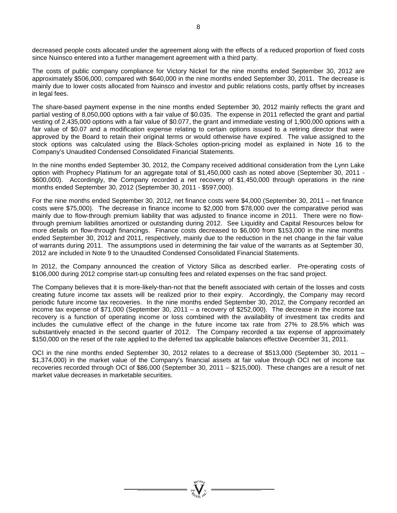decreased people costs allocated under the agreement along with the effects of a reduced proportion of fixed costs since Nuinsco entered into a further management agreement with a third party.

The costs of public company compliance for Victory Nickel for the nine months ended September 30, 2012 are approximately \$506,000, compared with \$640,000 in the nine months ended September 30, 2011. The decrease is mainly due to lower costs allocated from Nuinsco and investor and public relations costs, partly offset by increases in legal fees.

The share-based payment expense in the nine months ended September 30, 2012 mainly reflects the grant and partial vesting of 8,050,000 options with a fair value of \$0.035. The expense in 2011 reflected the grant and partial vesting of 2,435,000 options with a fair value of \$0.077, the grant and immediate vesting of 1,900,000 options with a fair value of \$0.07 and a modification expense relating to certain options issued to a retiring director that were approved by the Board to retain their original terms or would otherwise have expired. The value assigned to the stock options was calculated using the Black-Scholes option-pricing model as explained in Note 16 to the Company's Unaudited Condensed Consolidated Financial Statements.

In the nine months ended September 30, 2012, the Company received additional consideration from the Lynn Lake option with Prophecy Platinum for an aggregate total of \$1,450,000 cash as noted above (September 30, 2011 - \$600,000). Accordingly, the Company recorded a net recovery of \$1,450,000 through operations in the nine months ended September 30, 2012 (September 30, 2011 - \$597,000).

For the nine months ended September 30, 2012, net finance costs were \$4,000 (September 30, 2011 – net finance costs were \$75,000). The decrease in finance income to \$2,000 from \$78,000 over the comparative period was mainly due to flow-through premium liability that was adjusted to finance income in 2011. There were no flowthrough premium liabilities amortized or outstanding during 2012. See Liquidity and Capital Resources below for more details on flow-through financings. Finance costs decreased to \$6,000 from \$153,000 in the nine months ended September 30, 2012 and 2011, respectively, mainly due to the reduction in the net change in the fair value of warrants during 2011. The assumptions used in determining the fair value of the warrants as at September 30, 2012 are included in Note 9 to the Unaudited Condensed Consolidated Financial Statements.

In 2012, the Company announced the creation of Victory Silica as described earlier. Pre-operating costs of \$106,000 during 2012 comprise start-up consulting fees and related expenses on the frac sand project.

The Company believes that it is more-likely-than-not that the benefit associated with certain of the losses and costs creating future income tax assets will be realized prior to their expiry. Accordingly, the Company may record periodic future income tax recoveries. In the nine months ended September 30, 2012, the Company recorded an income tax expense of \$71,000 (September 30, 2011 – a recovery of \$252,000). The decrease in the income tax recovery is a function of operating income or loss combined with the availability of investment tax credits and includes the cumulative effect of the change in the future income tax rate from 27% to 28.5% which was substantively enacted in the second quarter of 2012. The Company recorded a tax expense of approximately \$150,000 on the reset of the rate applied to the deferred tax applicable balances effective December 31, 2011.

OCI in the nine months ended September 30, 2012 relates to a decrease of \$513,000 (September 30, 2011 – \$1,374,000) in the market value of the Company's financial assets at fair value through OCI net of income tax recoveries recorded through OCI of \$86,000 (September 30, 2011 – \$215,000). These changes are a result of net market value decreases in marketable securities.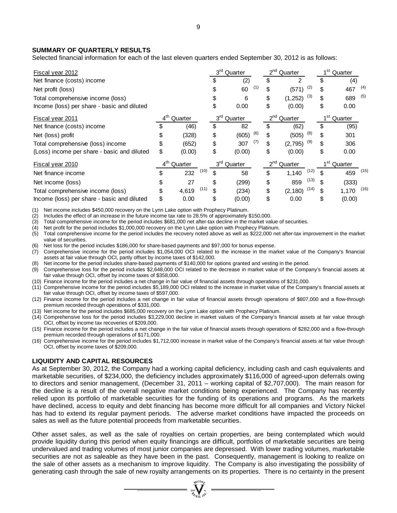### **SUMMARY OF QUARTERLY RESULTS**

Selected financial information for each of the last eleven quarters ended September 30, 2012 is as follows:

| Fiscal year 2012                            |                            | 3 <sup>rd</sup> Quarter |                 | 2 <sup>nd</sup> Quarter    |                     | 1 <sup>st</sup> Quarter  |      |                            |               |  |
|---------------------------------------------|----------------------------|-------------------------|-----------------|----------------------------|---------------------|--------------------------|------|----------------------------|---------------|--|
| Net finance (costs) income                  |                            |                         | S               | (2)                        | \$                  | 2                        |      | \$                         | (4)           |  |
| Net profit (loss)                           |                            |                         |                 | (1)<br>60                  | \$                  | (571)                    | (2)  | \$                         | (4)<br>467    |  |
| Total comprehensive income (loss)           |                            |                         | \$              | 6                          | \$                  | (3)<br>(1, 252)          |      | \$                         | (5)<br>689    |  |
| Income (loss) per share - basic and diluted |                            |                         | \$              | 0.00                       | \$                  | (0.00)                   |      | \$                         | 0.00          |  |
| Fiscal year 2011                            | $4^{\text{th}}$<br>Quarter |                         |                 | 3 <sup>rd</sup><br>Quarter | $2^{nd}$<br>Quarter |                          |      | 1 <sup>st</sup><br>Quarter |               |  |
| Net finance (costs) income                  |                            | (46)                    | \$              | 82                         | \$                  | (62)                     |      | \$                         | (95)          |  |
| Net (loss) profit                           | \$                         | (328)                   | \$              | (6)<br>(605)               | \$                  | (505)                    | (8)  | \$                         | 301           |  |
| Total comprehensive (loss) income           | \$                         | (652)                   | \$              | (7)<br>307                 | \$                  | $(2,795)$ <sup>(9)</sup> |      | \$                         | 306           |  |
| (Loss) income per share - basic and diluted | \$                         | (0.00)                  | \$              | (0.00)                     | \$                  | (0.00)                   |      | \$                         | 0.00          |  |
| Fiscal year 2010                            | $4^{\text{th}}$            | Quarter                 | 3 <sup>rd</sup> | Quarter                    | $2^{nd}$            | <sup>'</sup> Quarter     |      | 1 <sup>st</sup>            | Quarter       |  |
| Net finance income                          | \$                         | (10)<br>232             | \$              | 58                         | \$                  | 1,140                    | (12) | \$                         | (15)<br>459   |  |
| Net income (loss)                           | \$                         | 27                      | \$              | (299)                      | \$                  | 859                      | (13) | \$                         | (333)         |  |
| Total comprehensive income (loss)           | \$                         | (11)<br>4.619           | \$              | (234)                      | \$                  | (2, 180)                 | (14) | \$                         | (16)<br>1,170 |  |
| Income (loss) per share - basic and diluted | \$                         | 0.00                    | \$              | (0.00)                     | \$                  | 0.00                     |      | \$                         | (0.00)        |  |

(1) Net income includes \$450,000 recovery on the Lynn Lake option with Prophecy Platinum.

(2) Includes the effect of an increase in the future income tax rate to 28.5% of approximately \$150,000.

(3) Total comprehensive income for the period includes \$681,000 net after-tax decline in the market value of securities.

(4) Net profit for the period includes \$1,000,000 recovery on the Lynn Lake option with Prophecy Platinum.<br>(5) Total comprehensive income for the period includes the recovery noted above as well as \$222,000 net

(5) Total comprehensive income for the period includes the recovery noted above as well as \$222,000 net after-tax improvement in the market value of securities.

(6) Net loss for the period includes \$186,000 for share-based payments and \$97,000 for bonus expense.

(7) Comprehensive income for the period includes \$1,054,000 OCI related to the increase in the market value of the Company's financial assets at fair value through OCI, partly offset by income taxes of \$142,000.

Net income for the period includes share-based payments of \$140,000 for options granted and vesting in the period.

(9) Comprehensive loss for the period includes \$2,648,000 OCI related to the decrease in market value of the Company's financial assets at fair value through OCI, offset by income taxes of \$358,000.

(10) Finance income for the period includes a net change in fair value of financial assets through operations of \$231,000.

(11) Comprehensive income for the period includes \$5,189,000 OCI related to the increase in market value of the Company's financial assets at fair value through OCI, offset by income taxes of \$597,000.

(12) Finance income for the period includes a net change in fair value of financial assets through operations of \$807,000 and a flow-through premium recorded through operations of \$331,000.

(13) Net income for the period includes \$685,000 recovery on the Lynn Lake option with Prophecy Platinum.

(14) Comprehensive loss for the period includes \$3,229,000 decline in market values of the Company's financial assets at fair value through OCI, offset by income tax recoveries of \$209,000.

(15) Finance income for the period includes a net change in the fair value of financial assets through operations of \$282,000 and a flow-through premium recorded through operations of \$171,000.

(16) Comprehensive income for the period includes \$1,712,000 increase in market value of the Company's financial assets at fair value through OCI, offset by income taxes of \$209,000.

### **LIQUIDITY AND CAPITAL RESOURCES**

As at September 30, 2012, the Company had a working capital deficiency, including cash and cash equivalents and marketable securities, of \$234,000, the deficiency includes approximately \$116,000 of agreed-upon deferrals owing to directors and senior management, (December 31, 2011 – working capital of \$2,707,000). The main reason for the decline is a result of the overall negative market conditions being experienced. The Company has recently relied upon its portfolio of marketable securities for the funding of its operations and programs. As the markets have declined, access to equity and debt financing has become more difficult for all companies and Victory Nickel has had to extend its regular payment periods. The adverse market conditions have impacted the proceeds on sales as well as the future potential proceeds from marketable securities.

Other asset sales, as well as the sale of royalties on certain properties, are being contemplated which would provide liquidity during this period when equity financings are difficult, portfolios of marketable securities are being undervalued and trading volumes of most junior companies are depressed. With lower trading volumes, marketable securities are not as saleable as they have been in the past. Consequently, management is looking to realize on the sale of other assets as a mechanism to improve liquidity. The Company is also investigating the possibility of generating cash through the sale of new royalty arrangements on its properties. There is no certainty in the present

 $\sum_{\alpha}$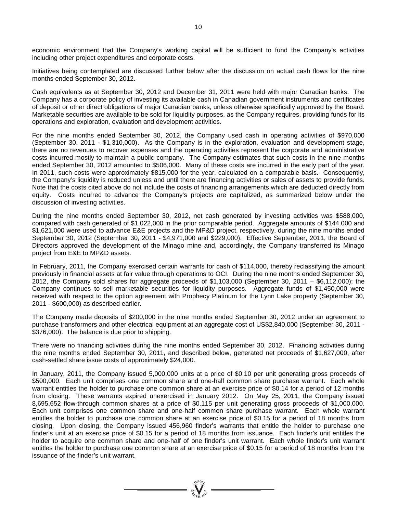economic environment that the Company's working capital will be sufficient to fund the Company's activities including other project expenditures and corporate costs.

Initiatives being contemplated are discussed further below after the discussion on actual cash flows for the nine months ended September 30, 2012.

Cash equivalents as at September 30, 2012 and December 31, 2011 were held with major Canadian banks. The Company has a corporate policy of investing its available cash in Canadian government instruments and certificates of deposit or other direct obligations of major Canadian banks, unless otherwise specifically approved by the Board. Marketable securities are available to be sold for liquidity purposes, as the Company requires, providing funds for its operations and exploration, evaluation and development activities.

For the nine months ended September 30, 2012, the Company used cash in operating activities of \$970,000 (September 30, 2011 - \$1,310,000). As the Company is in the exploration, evaluation and development stage, there are no revenues to recover expenses and the operating activities represent the corporate and administrative costs incurred mostly to maintain a public company. The Company estimates that such costs in the nine months ended September 30, 2012 amounted to \$506,000. Many of these costs are incurred in the early part of the year. In 2011, such costs were approximately \$815,000 for the year, calculated on a comparable basis. Consequently, the Company's liquidity is reduced unless and until there are financing activities or sales of assets to provide funds. Note that the costs cited above do not include the costs of financing arrangements which are deducted directly from equity. Costs incurred to advance the Company's projects are capitalized, as summarized below under the discussion of investing activities.

During the nine months ended September 30, 2012, net cash generated by investing activities was \$588,000, compared with cash generated of \$1,022,000 in the prior comparable period. Aggregate amounts of \$144,000 and \$1,621,000 were used to advance E&E projects and the MP&D project, respectively, during the nine months ended September 30, 2012 (September 30, 2011 - \$4,971,000 and \$229,000). Effective September, 2011, the Board of Directors approved the development of the Minago mine and, accordingly, the Company transferred its Minago project from E&E to MP&D assets.

In February, 2011, the Company exercised certain warrants for cash of \$114,000, thereby reclassifying the amount previously in financial assets at fair value through operations to OCI. During the nine months ended September 30, 2012, the Company sold shares for aggregate proceeds of \$1,103,000 (September 30, 2011 – \$6,112,000); the Company continues to sell marketable securities for liquidity purposes. Aggregate funds of \$1,450,000 were received with respect to the option agreement with Prophecy Platinum for the Lynn Lake property (September 30, 2011 - \$600,000) as described earlier.

The Company made deposits of \$200,000 in the nine months ended September 30, 2012 under an agreement to purchase transformers and other electrical equipment at an aggregate cost of US\$2,840,000 (September 30, 2011 - \$376,000). The balance is due prior to shipping.

There were no financing activities during the nine months ended September 30, 2012. Financing activities during the nine months ended September 30, 2011, and described below, generated net proceeds of \$1,627,000, after cash-settled share issue costs of approximately \$24,000.

In January, 2011, the Company issued 5,000,000 units at a price of \$0.10 per unit generating gross proceeds of \$500,000. Each unit comprises one common share and one-half common share purchase warrant. Each whole warrant entitles the holder to purchase one common share at an exercise price of \$0.14 for a period of 12 months from closing. These warrants expired unexercised in January 2012. On May 25, 2011, the Company issued 8,695,652 flow-through common shares at a price of \$0.115 per unit generating gross proceeds of \$1,000,000. Each unit comprises one common share and one-half common share purchase warrant. Each whole warrant entitles the holder to purchase one common share at an exercise price of \$0.15 for a period of 18 months from closing. Upon closing, the Company issued 456,960 finder's warrants that entitle the holder to purchase one finder's unit at an exercise price of \$0.15 for a period of 18 months from issuance. Each finder's unit entitles the holder to acquire one common share and one-half of one finder's unit warrant. Each whole finder's unit warrant entitles the holder to purchase one common share at an exercise price of \$0.15 for a period of 18 months from the issuance of the finder's unit warrant.

 $\sum_{\substack{100\\20}}^{\frac{\sqrt{100}}{100}}$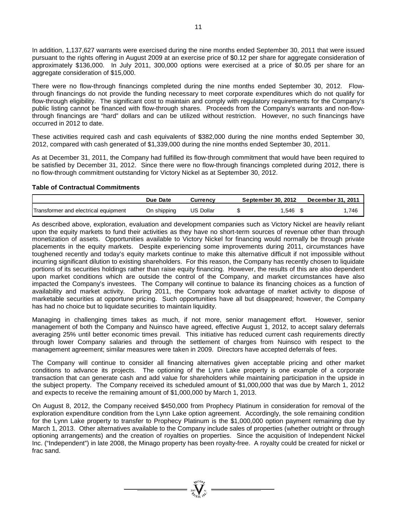In addition, 1,137,627 warrants were exercised during the nine months ended September 30, 2011 that were issued pursuant to the rights offering in August 2009 at an exercise price of \$0.12 per share for aggregate consideration of approximately \$136,000. In July 2011, 300,000 options were exercised at a price of \$0.05 per share for an aggregate consideration of \$15,000.

There were no flow-through financings completed during the nine months ended September 30, 2012. Flowthrough financings do not provide the funding necessary to meet corporate expenditures which do not qualify for flow-through eligibility. The significant cost to maintain and comply with regulatory requirements for the Company's public listing cannot be financed with flow-through shares. Proceeds from the Company's warrants and non-flowthrough financings are "hard" dollars and can be utilized without restriction. However, no such financings have occurred in 2012 to date.

These activities required cash and cash equivalents of \$382,000 during the nine months ended September 30, 2012, compared with cash generated of \$1,339,000 during the nine months ended September 30, 2011.

As at December 31, 2011, the Company had fulfilled its flow-through commitment that would have been required to be satisfied by December 31, 2012. Since there were no flow-through financings completed during 2012, there is no flow-through commitment outstanding for Victory Nickel as at September 30, 2012.

### **Table of Contractual Commitments**

|                                      | Due Date    | Currencv         | September 30, 2012 | December 31, 2011 |      |  |
|--------------------------------------|-------------|------------------|--------------------|-------------------|------|--|
| Transformer and electrical equipment | On shipping | <b>US Dollar</b> |                    | .546              | .746 |  |

As described above, exploration, evaluation and development companies such as Victory Nickel are heavily reliant upon the equity markets to fund their activities as they have no short-term sources of revenue other than through monetization of assets. Opportunities available to Victory Nickel for financing would normally be through private placements in the equity markets. Despite experiencing some improvements during 2011, circumstances have toughened recently and today's equity markets continue to make this alternative difficult if not impossible without incurring significant dilution to existing shareholders. For this reason, the Company has recently chosen to liquidate portions of its securities holdings rather than raise equity financing. However, the results of this are also dependent upon market conditions which are outside the control of the Company, and market circumstances have also impacted the Company's investees. The Company will continue to balance its financing choices as a function of availability and market activity. During 2011, the Company took advantage of market activity to dispose of marketable securities at opportune pricing. Such opportunities have all but disappeared; however, the Company has had no choice but to liquidate securities to maintain liquidity.

Managing in challenging times takes as much, if not more, senior management effort. However, senior management of both the Company and Nuinsco have agreed, effective August 1, 2012, to accept salary deferrals averaging 25% until better economic times prevail. This initiative has reduced current cash requirements directly through lower Company salaries and through the settlement of charges from Nuinsco with respect to the management agreement; similar measures were taken in 2009. Directors have accepted deferrals of fees.

The Company will continue to consider all financing alternatives given acceptable pricing and other market conditions to advance its projects. The optioning of the Lynn Lake property is one example of a corporate transaction that can generate cash and add value for shareholders while maintaining participation in the upside in the subject property. The Company received its scheduled amount of \$1,000,000 that was due by March 1, 2012 and expects to receive the remaining amount of \$1,000,000 by March 1, 2013.

On August 8, 2012, the Company received \$450,000 from Prophecy Platinum in consideration for removal of the exploration expenditure condition from the Lynn Lake option agreement. Accordingly, the sole remaining condition for the Lynn Lake property to transfer to Prophecy Platinum is the \$1,000,000 option payment remaining due by March 1, 2013. Other alternatives available to the Company include sales of properties (whether outright or through optioning arrangements) and the creation of royalties on properties. Since the acquisition of Independent Nickel Inc. ("Independent") in late 2008, the Minago property has been royalty-free. A royalty could be created for nickel or frac sand.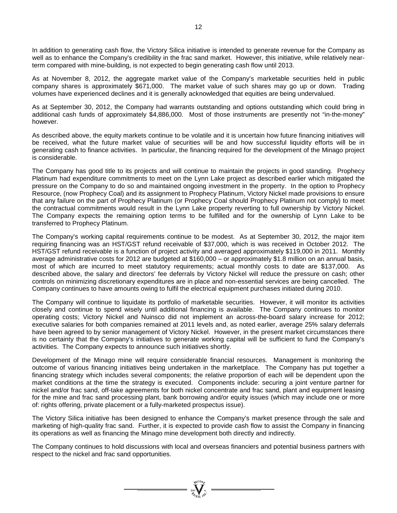In addition to generating cash flow, the Victory Silica initiative is intended to generate revenue for the Company as well as to enhance the Company's credibility in the frac sand market. However, this initiative, while relatively nearterm compared with mine-building, is not expected to begin generating cash flow until 2013.

As at November 8, 2012, the aggregate market value of the Company's marketable securities held in public company shares is approximately \$671,000. The market value of such shares may go up or down. Trading volumes have experienced declines and it is generally acknowledged that equities are being undervalued.

As at September 30, 2012, the Company had warrants outstanding and options outstanding which could bring in additional cash funds of approximately \$4,886,000. Most of those instruments are presently not "in-the-money" however.

As described above, the equity markets continue to be volatile and it is uncertain how future financing initiatives will be received, what the future market value of securities will be and how successful liquidity efforts will be in generating cash to finance activities. In particular, the financing required for the development of the Minago project is considerable.

The Company has good title to its projects and will continue to maintain the projects in good standing. Prophecy Platinum had expenditure commitments to meet on the Lynn Lake project as described earlier which mitigated the pressure on the Company to do so and maintained ongoing investment in the property. In the option to Prophecy Resource, (now Prophecy Coal) and its assignment to Prophecy Platinum, Victory Nickel made provisions to ensure that any failure on the part of Prophecy Platinum (or Prophecy Coal should Prophecy Platinum not comply) to meet the contractual commitments would result in the Lynn Lake property reverting to full ownership by Victory Nickel. The Company expects the remaining option terms to be fulfilled and for the ownership of Lynn Lake to be transferred to Prophecy Platinum.

The Company's working capital requirements continue to be modest. As at September 30, 2012, the major item requiring financing was an HST/GST refund receivable of \$37,000, which is was received in October 2012. The HST/GST refund receivable is a function of project activity and averaged approximately \$119,000 in 2011. Monthly average administrative costs for 2012 are budgeted at \$160,000 – or approximately \$1.8 million on an annual basis, most of which are incurred to meet statutory requirements; actual monthly costs to date are \$137,000. As described above, the salary and directors' fee deferrals by Victory Nickel will reduce the pressure on cash; other controls on minimizing discretionary expenditures are in place and non-essential services are being cancelled. The Company continues to have amounts owing to fulfil the electrical equipment purchases initiated during 2010.

The Company will continue to liquidate its portfolio of marketable securities. However, it will monitor its activities closely and continue to spend wisely until additional financing is available. The Company continues to monitor operating costs; Victory Nickel and Nuinsco did not implement an across-the-board salary increase for 2012; executive salaries for both companies remained at 2011 levels and, as noted earlier, average 25% salary deferrals have been agreed to by senior management of Victory Nickel. However, in the present market circumstances there is no certainty that the Company's initiatives to generate working capital will be sufficient to fund the Company's activities. The Company expects to announce such initiatives shortly.

Development of the Minago mine will require considerable financial resources. Management is monitoring the outcome of various financing initiatives being undertaken in the marketplace. The Company has put together a financing strategy which includes several components; the relative proportion of each will be dependent upon the market conditions at the time the strategy is executed. Components include: securing a joint venture partner for nickel and/or frac sand, off-take agreements for both nickel concentrate and frac sand, plant and equipment leasing for the mine and frac sand processing plant, bank borrowing and/or equity issues (which may include one or more of: rights offering, private placement or a fully-marketed prospectus issue).

The Victory Silica initiative has been designed to enhance the Company's market presence through the sale and marketing of high-quality frac sand. Further, it is expected to provide cash flow to assist the Company in financing its operations as well as financing the Minago mine development both directly and indirectly.

The Company continues to hold discussions with local and overseas financiers and potential business partners with respect to the nickel and frac sand opportunities.

 $\sum_{2007}^{3000}$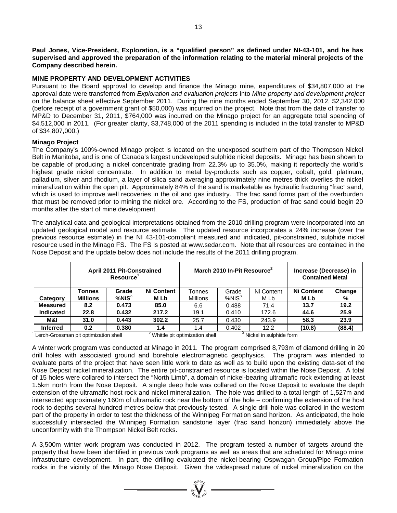**Paul Jones, Vice-President, Exploration, is a "qualified person" as defined under NI-43-101, and he has supervised and approved the preparation of the information relating to the material mineral projects of the Company described herein.**

### **MINE PROPERTY AND DEVELOPMENT ACTIVITIES**

Pursuant to the Board approval to develop and finance the Minago mine, expenditures of \$34,807,000 at the approval date were transferred from *Exploration and evaluation projects* into *Mine property and development project* on the balance sheet effective September 2011. During the nine months ended September 30, 2012, \$2,342,000 (before receipt of a government grant of \$50,000) was incurred on the project. Note that from the date of transfer to MP&D to December 31, 2011, \$764,000 was incurred on the Minago project for an aggregate total spending of \$4,512,000 in 2011. (For greater clarity, \$3,748,000 of the 2011 spending is included in the total transfer to MP&D of \$34,807,000.)

### **Minago Project**

The Company's 100%-owned Minago project is located on the unexposed southern part of the Thompson Nickel Belt in Manitoba, and is one of Canada's largest undeveloped sulphide nickel deposits. Minago has been shown to be capable of producing a nickel concentrate grading from 22.3% up to 35.0%, making it reportedly the world's highest grade nickel concentrate. In addition to metal by-products such as copper, cobalt, gold, platinum, palladium, silver and rhodium, a layer of silica sand averaging approximately nine metres thick overlies the nickel mineralization within the open pit. Approximately 84% of the sand is marketable as hydraulic fracturing "frac" sand, which is used to improve well recoveries in the oil and gas industry. The frac sand forms part of the overburden that must be removed prior to mining the nickel ore. According to the FS, production of frac sand could begin 20 months after the start of mine development.

The analytical data and geological interpretations obtained from the 2010 drilling program were incorporated into an updated geological model and resource estimate. The updated resource incorporates a 24% increase (over the previous resource estimate) in the NI 43-101-compliant measured and indicated, pit-constrained, sulphide nickel resource used in the Minago FS. The FS is posted at [www.sedar.com.](http://www.sedar.com/) Note that all resources are contained in the Nose Deposit and the update below does not include the results of the 2011 drilling program.

|                  |                                       | <b>April 2011 Pit-Constrained</b><br>Resource <sup>1</sup> |                   |                                             | March 2010 In-Pit Resource <sup>2</sup> | Increase (Decrease) in<br><b>Contained Metal</b> |                   |        |
|------------------|---------------------------------------|------------------------------------------------------------|-------------------|---------------------------------------------|-----------------------------------------|--------------------------------------------------|-------------------|--------|
|                  | Tonnes                                | Grade                                                      | <b>Ni Content</b> | Tonnes                                      | Grade                                   | Ni Content                                       | <b>Ni Content</b> | Change |
| Category         | <b>Millions</b>                       | $%$ Ni $S^3$                                               | M Lb              | <b>Millions</b>                             | %NiS <sup>3</sup>                       | M Lb                                             | M Lb              | %      |
| <b>Measured</b>  | 8.2                                   | 0.473                                                      | 85.0              | 6.6                                         | 0.488                                   | 71.4                                             | 13.7              | 19.2   |
| <b>Indicated</b> | 22.8                                  | 0.432                                                      | 217.2             | 19.1                                        | 0.410                                   | 172.6                                            | 44.6              | 25.9   |
| M&I              | 31.0                                  | 0.443                                                      | 302.2             | 25.7                                        | 0.430                                   | 243.9                                            | 58.3              | 23.9   |
| <b>Inferred</b>  | 0.2                                   | 0.380                                                      | 1.4               | 1.4                                         | 0.402                                   | 12.2                                             | (10.8)            | (88.4) |
|                  | Lerch-Grossman pit optimization shell |                                                            |                   | <sup>2</sup> Whittle pit optimization shell |                                         | Nickel in sulphide form                          |                   |        |

A winter work program was conducted at Minago in 2011. The program comprised 8,793m of diamond drilling in 20 drill holes with associated ground and borehole electromagnetic geophysics. The program was intended to evaluate parts of the project that have seen little work to date as well as to build upon the existing data-set of the Nose Deposit nickel mineralization. The entire pit-constrained resource is located within the Nose Deposit. A total of 15 holes were collared to intersect the "North Limb", a domain of nickel-bearing ultramafic rock extending at least 1.5km north from the Nose Deposit. A single deep hole was collared on the Nose Deposit to evaluate the depth extension of the ultramafic host rock and nickel mineralization. The hole was drilled to a total length of 1,527m and intersected approximately 160m of ultramafic rock near the bottom of the hole – confirming the extension of the host rock to depths several hundred metres below that previously tested. A single drill hole was collared in the western part of the property in order to test the thickness of the Winnipeg Formation sand horizon. As anticipated, the hole successfully intersected the Winnipeg Formation sandstone layer (frac sand horizon) immediately above the unconformity with the Thompson Nickel Belt rocks.

A 3,500m winter work program was conducted in 2012. The program tested a number of targets around the property that have been identified in previous work programs as well as areas that are scheduled for Minago mine infrastructure development. In part, the drilling evaluated the nickel-bearing Ospwagan Group/Pipe Formation rocks in the vicinity of the Minago Nose Deposit. Given the widespread nature of nickel mineralization on the

=  $\sum_{y_{\text{eff}}}^{y_{\text{eff}}(0)}$  =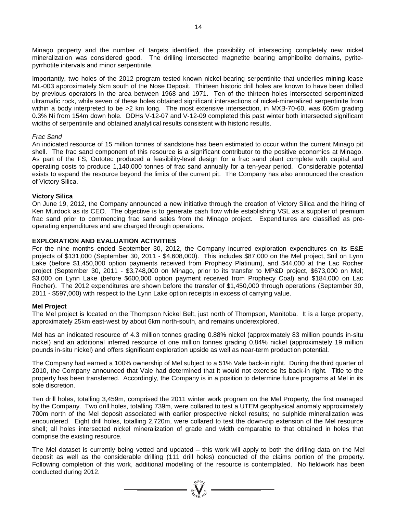Minago property and the number of targets identified, the possibility of intersecting completely new nickel mineralization was considered good. The drilling intersected magnetite bearing amphibolite domains, pyritepyrrhotite intervals and minor serpentinite.

Importantly, two holes of the 2012 program tested known nickel-bearing serpentinite that underlies mining lease ML-003 approximately 5km south of the Nose Deposit. Thirteen historic drill holes are known to have been drilled by previous operators in the area between 1968 and 1971. Ten of the thirteen holes intersected serpentinized ultramafic rock, while seven of these holes obtained significant intersections of nickel-mineralized serpentinite from within a body interpreted to be >2 km long. The most extensive intersection, in MXB-70-60, was 605m grading 0.3% Ni from 154m down hole. DDHs V-12-07 and V-12-09 completed this past winter both intersected significant widths of serpentinite and obtained analytical results consistent with historic results.

### *Frac Sand*

An indicated resource of 15 million tonnes of sandstone has been estimated to occur within the current Minago pit shell. The frac sand component of this resource is a significant contributor to the positive economics at Minago. As part of the FS, Outotec produced a feasibility-level design for a frac sand plant complete with capital and operating costs to produce 1,140,000 tonnes of frac sand annually for a ten-year period. Considerable potential exists to expand the resource beyond the limits of the current pit. The Company has also announced the creation of Victory Silica.

### **Victory Silica**

On June 19, 2012, the Company announced a new initiative through the creation of Victory Silica and the hiring of Ken Murdock as its CEO. The objective is to generate cash flow while establishing VSL as a supplier of premium frac sand prior to commencing frac sand sales from the Minago project. Expenditures are classified as preoperating expenditures and are charged through operations.

### **EXPLORATION AND EVALUATION ACTIVITIES**

For the nine months ended September 30, 2012, the Company incurred exploration expenditures on its E&E projects of \$131,000 (September 30, 2011 - \$4,608,000). This includes \$87,000 on the Mel project, \$nil on Lynn Lake (before \$1,450,000 option payments received from Prophecy Platinum), and \$44,000 at the Lac Rocher project (September 30, 2011 - \$3,748,000 on Minago, prior to its transfer to MP&D project, \$673,000 on Mel; \$3,000 on Lynn Lake (before \$600,000 option payment received from Prophecy Coal) and \$184,000 on Lac Rocher). The 2012 expenditures are shown before the transfer of \$1,450,000 through operations (September 30, 2011 - \$597,000) with respect to the Lynn Lake option receipts in excess of carrying value.

#### **Mel Project**

The Mel project is located on the Thompson Nickel Belt, just north of Thompson, Manitoba. It is a large property, approximately 25km east-west by about 6km north-south, and remains underexplored.

Mel has an indicated resource of 4.3 million tonnes grading 0.88% nickel (approximately 83 million pounds in-situ nickel) and an additional inferred resource of one million tonnes grading 0.84% nickel (approximately 19 million pounds in-situ nickel) and offers significant exploration upside as well as near-term production potential.

The Company had earned a 100% ownership of Mel subject to a 51% Vale back-in right. During the third quarter of 2010, the Company announced that Vale had determined that it would not exercise its back-in right. Title to the property has been transferred. Accordingly, the Company is in a position to determine future programs at Mel in its sole discretion.

Ten drill holes, totalling 3,459m, comprised the 2011 winter work program on the Mel Property, the first managed by the Company. Two drill holes, totalling 739m, were collared to test a UTEM geophysical anomaly approximately 700m north of the Mel deposit associated with earlier prospective nickel results; no sulphide mineralization was encountered. Eight drill holes, totalling 2,720m, were collared to test the down-dip extension of the Mel resource shell; all holes intersected nickel mineralization of grade and width comparable to that obtained in holes that comprise the existing resource.

The Mel dataset is currently being vetted and updated – this work will apply to both the drilling data on the Mel deposit as well as the considerable drilling (111 drill holes) conducted of the claims portion of the property. Following completion of this work, additional modelling of the resource is contemplated. No fieldwork has been conducted during 2012.

 $\sum_{\substack{i=1\\ i\neq j\neq i\neq j}}^{i\neq i\neq j\neq j}$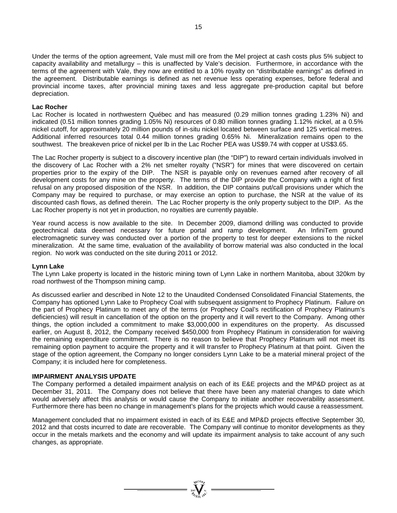Under the terms of the option agreement, Vale must mill ore from the Mel project at cash costs plus 5% subject to capacity availability and metallurgy – this is unaffected by Vale's decision. Furthermore, in accordance with the terms of the agreement with Vale, they now are entitled to a 10% royalty on "distributable earnings" as defined in the agreement. Distributable earnings is defined as net revenue less operating expenses, before federal and provincial income taxes, after provincial mining taxes and less aggregate pre-production capital but before depreciation.

### **Lac Rocher**

Lac Rocher is located in northwestern Québec and has measured (0.29 million tonnes grading 1.23% Ni) and indicated (0.51 million tonnes grading 1.05% Ni) resources of 0.80 million tonnes grading 1.12% nickel, at a 0.5% nickel cutoff, for approximately 20 million pounds of in-situ nickel located between surface and 125 vertical metres. Additional inferred resources total 0.44 million tonnes grading 0.65% Ni. Mineralization remains open to the southwest. The breakeven price of nickel per lb in the Lac Rocher PEA was US\$9.74 with copper at US\$3.65.

The Lac Rocher property is subject to a discovery incentive plan (the "DIP") to reward certain individuals involved in the discovery of Lac Rocher with a 2% net smelter royalty ("NSR") for mines that were discovered on certain properties prior to the expiry of the DIP. The NSR is payable only on revenues earned after recovery of all development costs for any mine on the property. The terms of the DIP provide the Company with a right of first refusal on any proposed disposition of the NSR. In addition, the DIP contains put/call provisions under which the Company may be required to purchase, or may exercise an option to purchase, the NSR at the value of its discounted cash flows, as defined therein. The Lac Rocher property is the only property subject to the DIP. As the Lac Rocher property is not yet in production, no royalties are currently payable.

Year round access is now available to the site. In December 2009, diamond drilling was conducted to provide geotechnical data deemed necessary for future portal and ramp development. An InfiniTem ground electromagnetic survey was conducted over a portion of the property to test for deeper extensions to the nickel mineralization. At the same time, evaluation of the availability of borrow material was also conducted in the local region. No work was conducted on the site during 2011 or 2012.

#### **Lynn Lake**

The Lynn Lake property is located in the historic mining town of Lynn Lake in northern Manitoba, about 320km by road northwest of the Thompson mining camp.

As discussed earlier and described in Note 12 to the Unaudited Condensed Consolidated Financial Statements, the Company has optioned Lynn Lake to Prophecy Coal with subsequent assignment to Prophecy Platinum. Failure on the part of Prophecy Platinum to meet any of the terms (or Prophecy Coal's rectification of Prophecy Platinum's deficiencies) will result in cancellation of the option on the property and it will revert to the Company. Among other things, the option included a commitment to make \$3,000,000 in expenditures on the property. As discussed earlier, on August 8, 2012, the Company received \$450,000 from Prophecy Platinum in consideration for waiving the remaining expenditure commitment. There is no reason to believe that Prophecy Platinum will not meet its remaining option payment to acquire the property and it will transfer to Prophecy Platinum at that point. Given the stage of the option agreement, the Company no longer considers Lynn Lake to be a material mineral project of the Company; it is included here for completeness.

#### **IMPAIRMENT ANALYSIS UPDATE**

The Company performed a detailed impairment analysis on each of its E&E projects and the MP&D project as at December 31, 2011. The Company does not believe that there have been any material changes to date which would adversely affect this analysis or would cause the Company to initiate another recoverability assessment. Furthermore there has been no change in management's plans for the projects which would cause a reassessment.

Management concluded that no impairment existed in each of its E&E and MP&D projects effective September 30, 2012 and that costs incurred to date are recoverable. The Company will continue to monitor developments as they occur in the metals markets and the economy and will update its impairment analysis to take account of any such changes, as appropriate.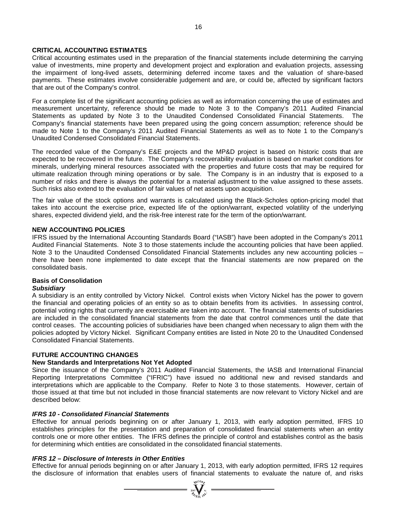### **CRITICAL ACCOUNTING ESTIMATES**

Critical accounting estimates used in the preparation of the financial statements include determining the carrying value of investments, mine property and development project and exploration and evaluation projects, assessing the impairment of long-lived assets, determining deferred income taxes and the valuation of share-based payments. These estimates involve considerable judgement and are, or could be, affected by significant factors that are out of the Company's control.

For a complete list of the significant accounting policies as well as information concerning the use of estimates and measurement uncertainty, reference should be made to Note 3 to the Company's 2011 Audited Financial Statements as updated by Note 3 to the Unaudited Condensed Consolidated Financial Statements. The Company's financial statements have been prepared using the going concern assumption; reference should be made to Note 1 to the Company's 2011 Audited Financial Statements as well as to Note 1 to the Company's Unaudited Condensed Consolidated Financial Statements.

The recorded value of the Company's E&E projects and the MP&D project is based on historic costs that are expected to be recovered in the future. The Company's recoverability evaluation is based on market conditions for minerals, underlying mineral resources associated with the properties and future costs that may be required for ultimate realization through mining operations or by sale. The Company is in an industry that is exposed to a number of risks and there is always the potential for a material adjustment to the value assigned to these assets. Such risks also extend to the evaluation of fair values of net assets upon acquisition.

The fair value of the stock options and warrants is calculated using the Black-Scholes option-pricing model that takes into account the exercise price, expected life of the option/warrant, expected volatility of the underlying shares, expected dividend yield, and the risk-free interest rate for the term of the option/warrant.

#### **NEW ACCOUNTING POLICIES**

IFRS issued by the International Accounting Standards Board ("IASB") have been adopted in the Company's 2011 Audited Financial Statements. Note 3 to those statements include the accounting policies that have been applied. Note 3 to the Unaudited Condensed Consolidated Financial Statements includes any new accounting policies there have been none implemented to date except that the financial statements are now prepared on the consolidated basis.

### **Basis of Consolidation**

#### *Subsidiary*

A subsidiary is an entity controlled by Victory Nickel. Control exists when Victory Nickel has the power to govern the financial and operating policies of an entity so as to obtain benefits from its activities. In assessing control, potential voting rights that currently are exercisable are taken into account. The financial statements of subsidiaries are included in the consolidated financial statements from the date that control commences until the date that control ceases. The accounting policies of subsidiaries have been changed when necessary to align them with the policies adopted by Victory Nickel. Significant Company entities are listed in Note 20 to the Unaudited Condensed Consolidated Financial Statements.

#### **FUTURE ACCOUNTING CHANGES**

#### **New Standards and Interpretations Not Yet Adopted**

Since the issuance of the Company's 2011 Audited Financial Statements, the IASB and International Financial Reporting Interpretations Committee ("IFRIC") have issued no additional new and revised standards and interpretations which are applicable to the Company. Refer to Note 3 to those statements. However, certain of those issued at that time but not included in those financial statements are now relevant to Victory Nickel and are described below:

### *IFRS 10 - Consolidated Financial Statements*

Effective for annual periods beginning on or after January 1, 2013, with early adoption permitted, IFRS 10 establishes principles for the presentation and preparation of consolidated financial statements when an entity controls one or more other entities. The IFRS defines the principle of control and establishes control as the basis for determining which entities are consolidated in the consolidated financial statements.

#### *IFRS 12 – Disclosure of Interests in Other Entities*

Effective for annual periods beginning on or after January 1, 2013, with early adoption permitted, IFRS 12 requires the disclosure of information that enables users of financial statements to evaluate the nature of, and risks  $\frac{dS_{\text{tot}}}{dS_{\text{tot}}}\frac{dS_{\text{tot}}}{dS_{\text{tot}}}\frac{dS_{\text{tot}}}{dS_{\text{tot}}}\frac{dS_{\text{tot}}}{dS_{\text{tot}}}\frac{dS_{\text{tot}}}{dS_{\text{tot}}}\frac{dS_{\text{tot$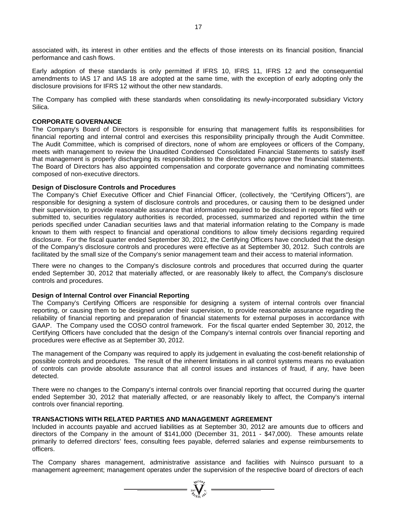associated with, its interest in other entities and the effects of those interests on its financial position, financial performance and cash flows.

Early adoption of these standards is only permitted if IFRS 10, IFRS 11, IFRS 12 and the consequential amendments to IAS 17 and IAS 18 are adopted at the same time, with the exception of early adopting only the disclosure provisions for IFRS 12 without the other new standards.

The Company has complied with these standards when consolidating its newly-incorporated subsidiary Victory Silica.

### **CORPORATE GOVERNANCE**

The Company's Board of Directors is responsible for ensuring that management fulfils its responsibilities for financial reporting and internal control and exercises this responsibility principally through the Audit Committee. The Audit Committee, which is comprised of directors, none of whom are employees or officers of the Company, meets with management to review the Unaudited Condensed Consolidated Financial Statements to satisfy itself that management is properly discharging its responsibilities to the directors who approve the financial statements. The Board of Directors has also appointed compensation and corporate governance and nominating committees composed of non-executive directors.

### **Design of Disclosure Controls and Procedures**

The Company's Chief Executive Officer and Chief Financial Officer, (collectively, the "Certifying Officers"), are responsible for designing a system of disclosure controls and procedures, or causing them to be designed under their supervision, to provide reasonable assurance that information required to be disclosed in reports filed with or submitted to, securities regulatory authorities is recorded, processed, summarized and reported within the time periods specified under Canadian securities laws and that material information relating to the Company is made known to them with respect to financial and operational conditions to allow timely decisions regarding required disclosure. For the fiscal quarter ended September 30, 2012, the Certifying Officers have concluded that the design of the Company's disclosure controls and procedures were effective as at September 30, 2012. Such controls are facilitated by the small size of the Company's senior management team and their access to material information.

There were no changes to the Company's disclosure controls and procedures that occurred during the quarter ended September 30, 2012 that materially affected, or are reasonably likely to affect, the Company's disclosure controls and procedures.

### **Design of Internal Control over Financial Reporting**

The Company's Certifying Officers are responsible for designing a system of internal controls over financial reporting, or causing them to be designed under their supervision, to provide reasonable assurance regarding the reliability of financial reporting and preparation of financial statements for external purposes in accordance with GAAP. The Company used the COSO control framework. For the fiscal quarter ended September 30, 2012, the Certifying Officers have concluded that the design of the Company's internal controls over financial reporting and procedures were effective as at September 30, 2012.

The management of the Company was required to apply its judgement in evaluating the cost-benefit relationship of possible controls and procedures. The result of the inherent limitations in all control systems means no evaluation of controls can provide absolute assurance that all control issues and instances of fraud, if any, have been detected.

There were no changes to the Company's internal controls over financial reporting that occurred during the quarter ended September 30, 2012 that materially affected, or are reasonably likely to affect, the Company's internal controls over financial reporting.

### **TRANSACTIONS WITH RELATED PARTIES AND MANAGEMENT AGREEMENT**

Included in accounts payable and accrued liabilities as at September 30, 2012 are amounts due to officers and directors of the Company in the amount of \$141,000 (December 31, 2011 - \$47,000). These amounts relate primarily to deferred directors' fees, consulting fees payable, deferred salaries and expense reimbursements to officers.

The Company shares management, administrative assistance and facilities with Nuinsco pursuant to a management agreement; management operates under the supervision of the respective board of directors of each

 $=\sum_{i=1}^{N^{(10)}_{N}}$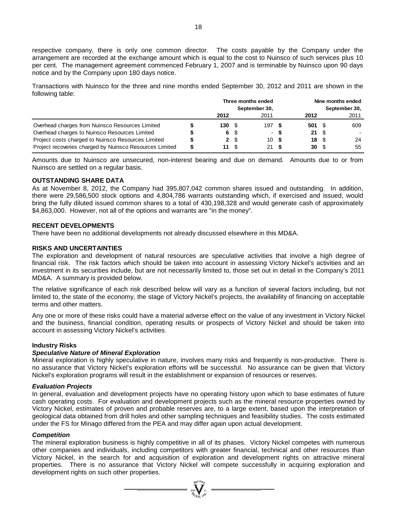respective company, there is only one common director. The costs payable by the Company under the arrangement are recorded at the exchange amount which is equal to the cost to Nuinsco of such services plus 10 per cent. The management agreement commenced February 1, 2007 and is terminable by Nuinsco upon 90 days notice and by the Company upon 180 days notice.

Transactions with Nuinsco for the three and nine months ended September 30, 2012 and 2011 are shown in the following table:

|                                                         |   | Three months ended<br>September 30, |                |        |  | Nine months ended<br>September 30, |  |      |  |
|---------------------------------------------------------|---|-------------------------------------|----------------|--------|--|------------------------------------|--|------|--|
|                                                         |   |                                     |                |        |  |                                    |  |      |  |
|                                                         |   | 2012                                |                | 2011   |  | 2012                               |  | 2011 |  |
| Overhead charges from Nuinsco Resources Limited         |   | 130S                                |                | 197S   |  | 501 S                              |  | 609  |  |
| Overhead charges to Nuinsco Resources Limited           |   |                                     | 6 S            | $\sim$ |  | $21 \quad$ $\frac{1}{2}$           |  |      |  |
| Project costs charged to Nuinsco Resources Limited      |   |                                     | 2 <sup>5</sup> | 10S    |  | $18 \quad$ $\frac{6}{3}$           |  | 24   |  |
| Project recoveries charged by Nuinsco Resources Limited | æ | 11 S                                |                | 21 S   |  | $30 \quad$                         |  | 55   |  |

Amounts due to Nuinsco are unsecured, non-interest bearing and due on demand. Amounts due to or from Nuinsco are settled on a regular basis.

### **OUTSTANDING SHARE DATA**

As at November 8, 2012, the Company had 395,807,042 common shares issued and outstanding. In addition, there were 29,586,500 stock options and 4,804,786 warrants outstanding which, if exercised and issued, would bring the fully diluted issued common shares to a total of 430,198,328 and would generate cash of approximately \$4,863,000. However, not all of the options and warrants are "in the money".

### **RECENT DEVELOPMENTS**

There have been no additional developments not already discussed elsewhere in this MD&A.

### **RISKS AND UNCERTAINTIES**

The exploration and development of natural resources are speculative activities that involve a high degree of financial risk. The risk factors which should be taken into account in assessing Victory Nickel's activities and an investment in its securities include, but are not necessarily limited to, those set out in detail in the Company's 2011 MD&A. A summary is provided below.

The relative significance of each risk described below will vary as a function of several factors including, but not limited to, the state of the economy, the stage of Victory Nickel's projects, the availability of financing on acceptable terms and other matters.

Any one or more of these risks could have a material adverse effect on the value of any investment in Victory Nickel and the business, financial condition, operating results or prospects of Victory Nickel and should be taken into account in assessing Victory Nickel's activities.

### **Industry Risks**

### *Speculative Nature of Mineral Exploration*

Mineral exploration is highly speculative in nature, involves many risks and frequently is non-productive. There is no assurance that Victory Nickel's exploration efforts will be successful. No assurance can be given that Victory Nickel's exploration programs will result in the establishment or expansion of resources or reserves.

#### *Evaluation Projects*

In general, evaluation and development projects have no operating history upon which to base estimates of future cash operating costs. For evaluation and development projects such as the mineral resource properties owned by Victory Nickel, estimates of proven and probable reserves are, to a large extent, based upon the interpretation of geological data obtained from drill holes and other sampling techniques and feasibility studies. The costs estimated under the FS for Minago differed from the PEA and may differ again upon actual development.

### *Competition*

The mineral exploration business is highly competitive in all of its phases. Victory Nickel competes with numerous other companies and individuals, including competitors with greater financial, technical and other resources than Victory Nickel, in the search for and acquisition of exploration and development rights on attractive mineral properties. There is no assurance that Victory Nickel will compete successfully in acquiring exploration and development rights on such other properties.

 $\sum_{\substack{i=1\\i\neq j}}^{\mathcal{M}^{(10)}}\sum_{\substack{i=1\\i\neq j}}^{\mathcal{M}^{(10)}}$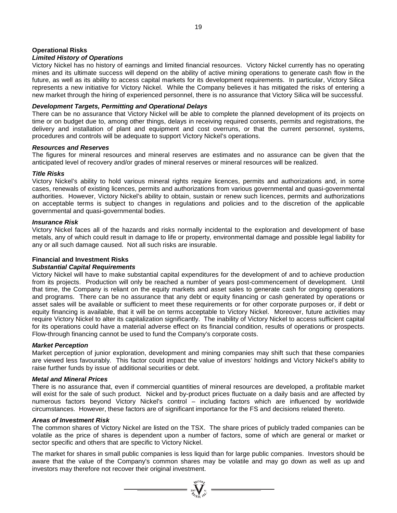### **Operational Risks**

### *Limited History of Operations*

Victory Nickel has no history of earnings and limited financial resources. Victory Nickel currently has no operating mines and its ultimate success will depend on the ability of active mining operations to generate cash flow in the future, as well as its ability to access capital markets for its development requirements. In particular, Victory Silica represents a new initiative for Victory Nickel. While the Company believes it has mitigated the risks of entering a new market through the hiring of experienced personnel, there is no assurance that Victory Silica will be successful.

## *Development Targets, Permitting and Operational Delays*

There can be no assurance that Victory Nickel will be able to complete the planned development of its projects on time or on budget due to, among other things, delays in receiving required consents, permits and registrations, the delivery and installation of plant and equipment and cost overruns, or that the current personnel, systems, procedures and controls will be adequate to support Victory Nickel's operations.

### *Resources and Reserves*

The figures for mineral resources and mineral reserves are estimates and no assurance can be given that the anticipated level of recovery and/or grades of mineral reserves or mineral resources will be realized.

### *Title Risks*

Victory Nickel's ability to hold various mineral rights require licences, permits and authorizations and, in some cases, renewals of existing licences, permits and authorizations from various governmental and quasi-governmental authorities. However, Victory Nickel's ability to obtain, sustain or renew such licences, permits and authorizations on acceptable terms is subject to changes in regulations and policies and to the discretion of the applicable governmental and quasi-governmental bodies.

### *Insurance Risk*

Victory Nickel faces all of the hazards and risks normally incidental to the exploration and development of base metals, any of which could result in damage to life or property, environmental damage and possible legal liability for any or all such damage caused. Not all such risks are insurable.

### **Financial and Investment Risks**

### *Substantial Capital Requirements*

Victory Nickel will have to make substantial capital expenditures for the development of and to achieve production from its projects. Production will only be reached a number of years post-commencement of development. Until that time, the Company is reliant on the equity markets and asset sales to generate cash for ongoing operations and programs. There can be no assurance that any debt or equity financing or cash generated by operations or asset sales will be available or sufficient to meet these requirements or for other corporate purposes or, if debt or equity financing is available, that it will be on terms acceptable to Victory Nickel. Moreover, future activities may require Victory Nickel to alter its capitalization significantly. The inability of Victory Nickel to access sufficient capital for its operations could have a material adverse effect on its financial condition, results of operations or prospects. Flow-through financing cannot be used to fund the Company's corporate costs.

### *Market Perception*

Market perception of junior exploration, development and mining companies may shift such that these companies are viewed less favourably. This factor could impact the value of investors' holdings and Victory Nickel's ability to raise further funds by issue of additional securities or debt.

### *Metal and Mineral Prices*

There is no assurance that, even if commercial quantities of mineral resources are developed, a profitable market will exist for the sale of such product. Nickel and by-product prices fluctuate on a daily basis and are affected by numerous factors beyond Victory Nickel's control – including factors which are influenced by worldwide circumstances. However, these factors are of significant importance for the FS and decisions related thereto.

### *Areas of Investment Risk*

The common shares of Victory Nickel are listed on the TSX. The share prices of publicly traded companies can be volatile as the price of shares is dependent upon a number of factors, some of which are general or market or sector specific and others that are specific to Victory Nickel.

The market for shares in small public companies is less liquid than for large public companies. Investors should be aware that the value of the Company's common shares may be volatile and may go down as well as up and investors may therefore not recover their original investment.

 $\sum_{\substack{2007 \text{ VU10}}{N}}^{\text{VU10}} \sum_{\substack{N\text{U}}}$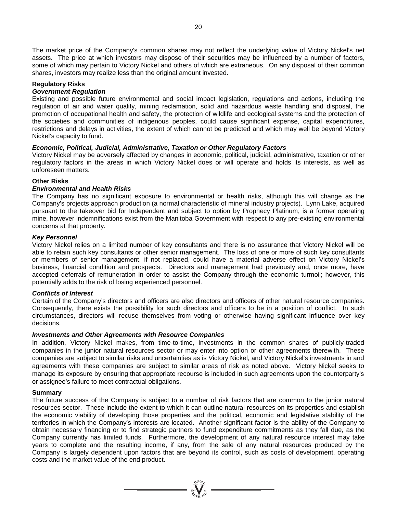The market price of the Company's common shares may not reflect the underlying value of Victory Nickel's net assets. The price at which investors may dispose of their securities may be influenced by a number of factors, some of which may pertain to Victory Nickel and others of which are extraneous. On any disposal of their common shares, investors may realize less than the original amount invested.

### **Regulatory Risks**

### *Government Regulation*

Existing and possible future environmental and social impact legislation, regulations and actions, including the regulation of air and water quality, mining reclamation, solid and hazardous waste handling and disposal, the promotion of occupational health and safety, the protection of wildlife and ecological systems and the protection of the societies and communities of indigenous peoples, could cause significant expense, capital expenditures, restrictions and delays in activities, the extent of which cannot be predicted and which may well be beyond Victory Nickel's capacity to fund.

### *Economic, Political, Judicial, Administrative, Taxation or Other Regulatory Factors*

Victory Nickel may be adversely affected by changes in economic, political, judicial, administrative, taxation or other regulatory factors in the areas in which Victory Nickel does or will operate and holds its interests, as well as unforeseen matters.

### **Other Risks**

### *Environmental and Health Risks*

The Company has no significant exposure to environmental or health risks, although this will change as the Company's projects approach production (a normal characteristic of mineral industry projects). Lynn Lake, acquired pursuant to the takeover bid for Independent and subject to option by Prophecy Platinum, is a former operating mine, however indemnifications exist from the Manitoba Government with respect to any pre-existing environmental concerns at that property.

### *Key Personnel*

Victory Nickel relies on a limited number of key consultants and there is no assurance that Victory Nickel will be able to retain such key consultants or other senior management. The loss of one or more of such key consultants or members of senior management, if not replaced, could have a material adverse effect on Victory Nickel's business, financial condition and prospects. Directors and management had previously and, once more, have accepted deferrals of remuneration in order to assist the Company through the economic turmoil; however, this potentially adds to the risk of losing experienced personnel.

#### *Conflicts of Interest*

Certain of the Company's directors and officers are also directors and officers of other natural resource companies. Consequently, there exists the possibility for such directors and officers to be in a position of conflict. In such circumstances, directors will recuse themselves from voting or otherwise having significant influence over key decisions.

### *Investments and Other Agreements with Resource Companies*

In addition, Victory Nickel makes, from time-to-time, investments in the common shares of publicly-traded companies in the junior natural resources sector or may enter into option or other agreements therewith. These companies are subject to similar risks and uncertainties as is Victory Nickel, and Victory Nickel's investments in and agreements with these companies are subject to similar areas of risk as noted above. Victory Nickel seeks to manage its exposure by ensuring that appropriate recourse is included in such agreements upon the counterparty's or assignee's failure to meet contractual obligations.

#### **Summary**

The future success of the Company is subject to a number of risk factors that are common to the junior natural resources sector. These include the extent to which it can outline natural resources on its properties and establish the economic viability of developing those properties and the political, economic and legislative stability of the territories in which the Company's interests are located. Another significant factor is the ability of the Company to obtain necessary financing or to find strategic partners to fund expenditure commitments as they fall due, as the Company currently has limited funds. Furthermore, the development of any natural resource interest may take years to complete and the resulting income, if any, from the sale of any natural resources produced by the Company is largely dependent upon factors that are beyond its control, such as costs of development, operating costs and the market value of the end product.